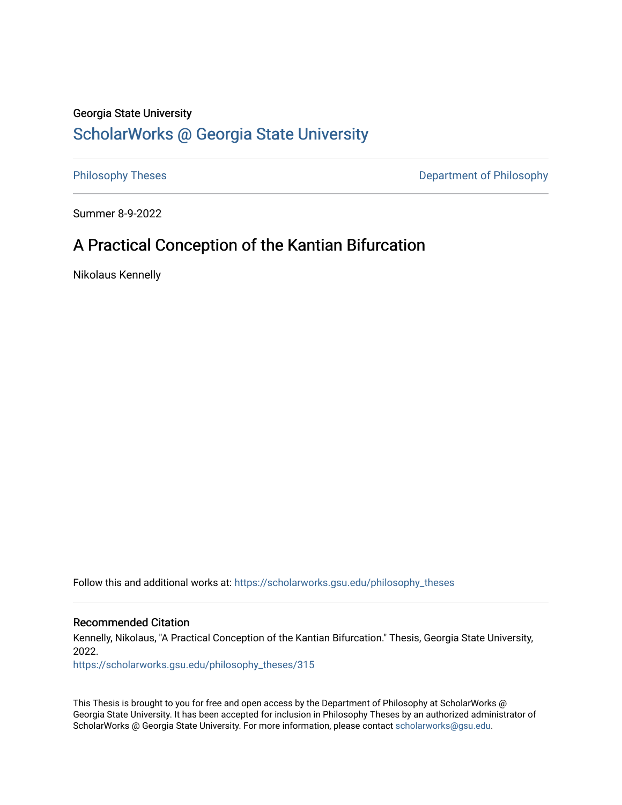#### Georgia State University

# [ScholarWorks @ Georgia State University](https://scholarworks.gsu.edu/)

[Philosophy Theses](https://scholarworks.gsu.edu/philosophy_theses) **Department of Philosophy** 

Summer 8-9-2022

## A Practical Conception of the Kantian Bifurcation

Nikolaus Kennelly

Follow this and additional works at: [https://scholarworks.gsu.edu/philosophy\\_theses](https://scholarworks.gsu.edu/philosophy_theses?utm_source=scholarworks.gsu.edu%2Fphilosophy_theses%2F315&utm_medium=PDF&utm_campaign=PDFCoverPages) 

#### Recommended Citation

Kennelly, Nikolaus, "A Practical Conception of the Kantian Bifurcation." Thesis, Georgia State University, 2022.

[https://scholarworks.gsu.edu/philosophy\\_theses/315](https://scholarworks.gsu.edu/philosophy_theses/315?utm_source=scholarworks.gsu.edu%2Fphilosophy_theses%2F315&utm_medium=PDF&utm_campaign=PDFCoverPages) 

This Thesis is brought to you for free and open access by the Department of Philosophy at ScholarWorks @ Georgia State University. It has been accepted for inclusion in Philosophy Theses by an authorized administrator of ScholarWorks @ Georgia State University. For more information, please contact [scholarworks@gsu.edu](mailto:scholarworks@gsu.edu).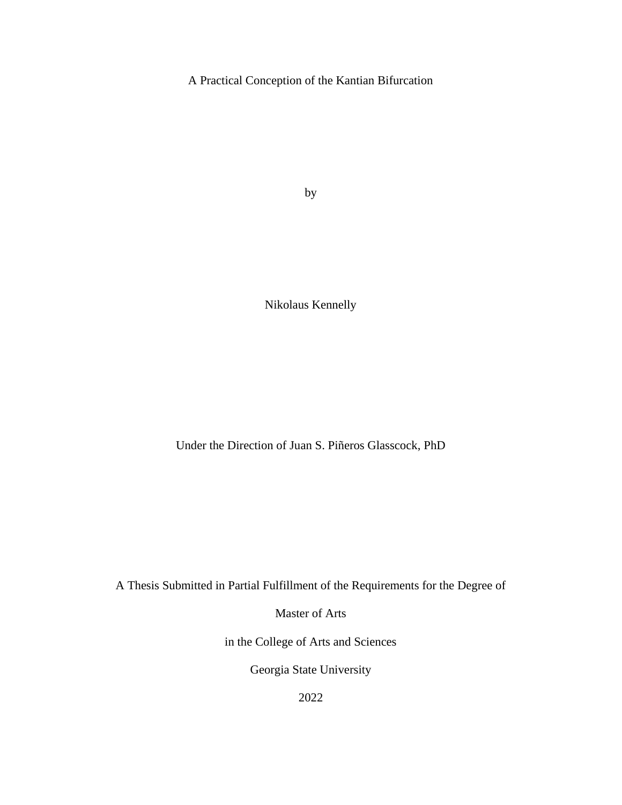A Practical Conception of the Kantian Bifurcation

by

Nikolaus Kennelly

Under the Direction of Juan S. Piñeros Glasscock, PhD

A Thesis Submitted in Partial Fulfillment of the Requirements for the Degree of

Master of Arts

in the College of Arts and Sciences

Georgia State University

2022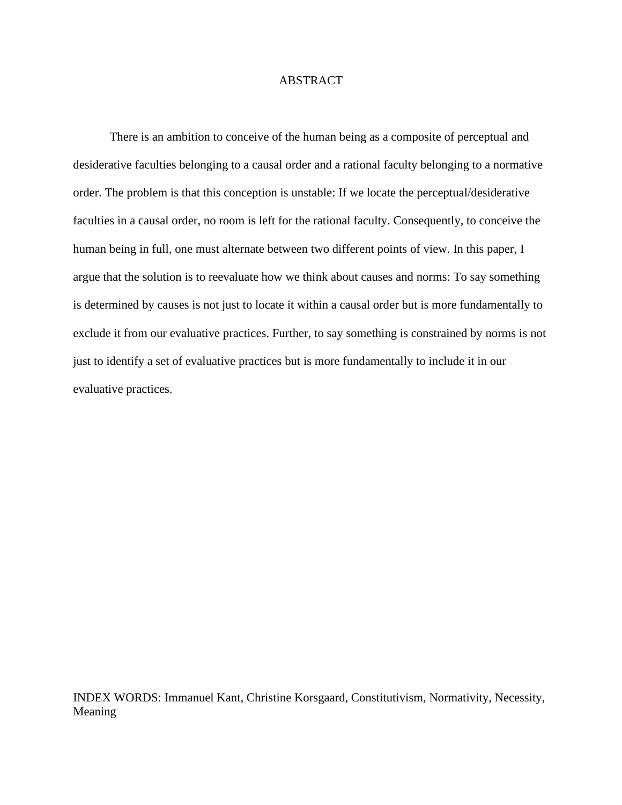#### ABSTRACT

There is an ambition to conceive of the human being as a composite of perceptual and desiderative faculties belonging to a causal order and a rational faculty belonging to a normative order. The problem is that this conception is unstable: If we locate the perceptual/desiderative faculties in a causal order, no room is left for the rational faculty. Consequently, to conceive the human being in full, one must alternate between two different points of view. In this paper, I argue that the solution is to reevaluate how we think about causes and norms: To say something is determined by causes is not just to locate it within a causal order but is more fundamentally to exclude it from our evaluative practices. Further, to say something is constrained by norms is not just to identify a set of evaluative practices but is more fundamentally to include it in our evaluative practices.

INDEX WORDS: Immanuel Kant, Christine Korsgaard, Constitutivism, Normativity, Necessity, Meaning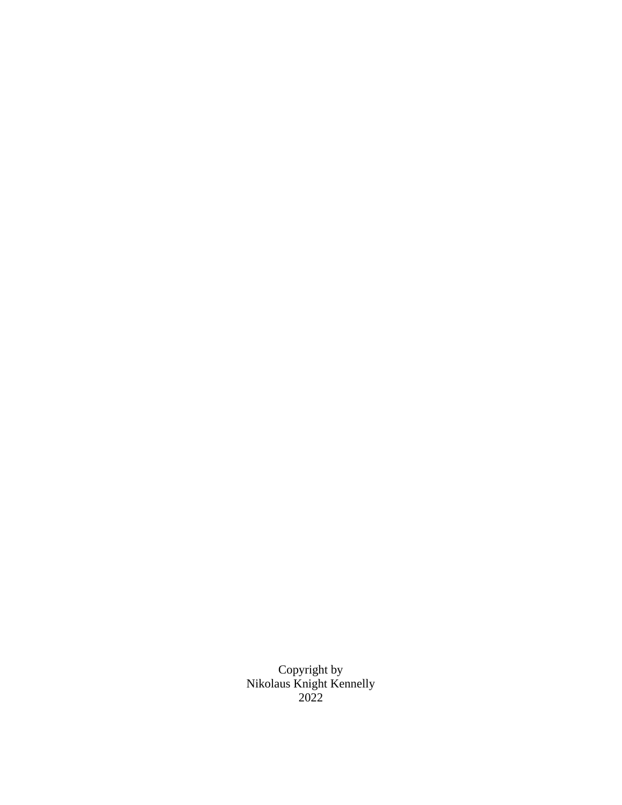Copyright by Nikolaus Knight Kennelly 2022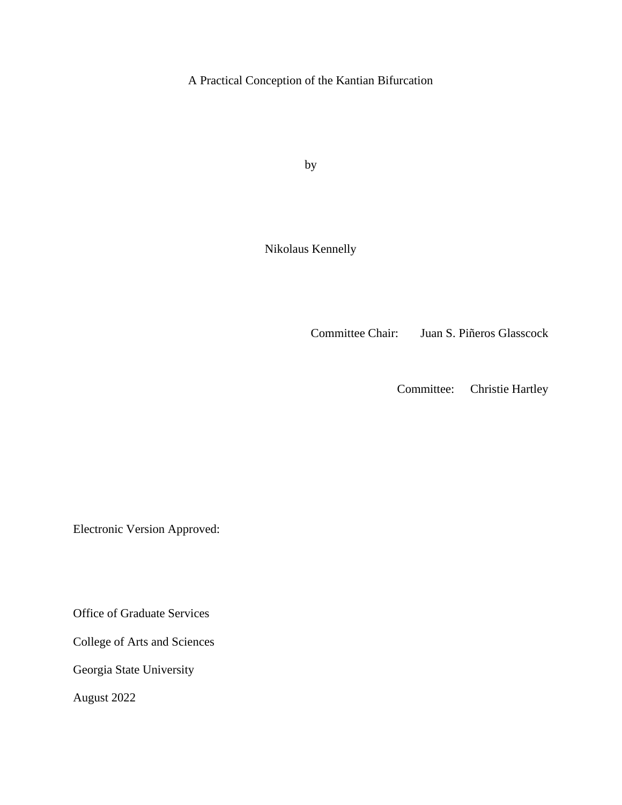A Practical Conception of the Kantian Bifurcation

by

Nikolaus Kennelly

Committee Chair: Juan S. Piñeros Glasscock

Committee: Christie Hartley

Electronic Version Approved:

Office of Graduate Services

College of Arts and Sciences

Georgia State University

August 2022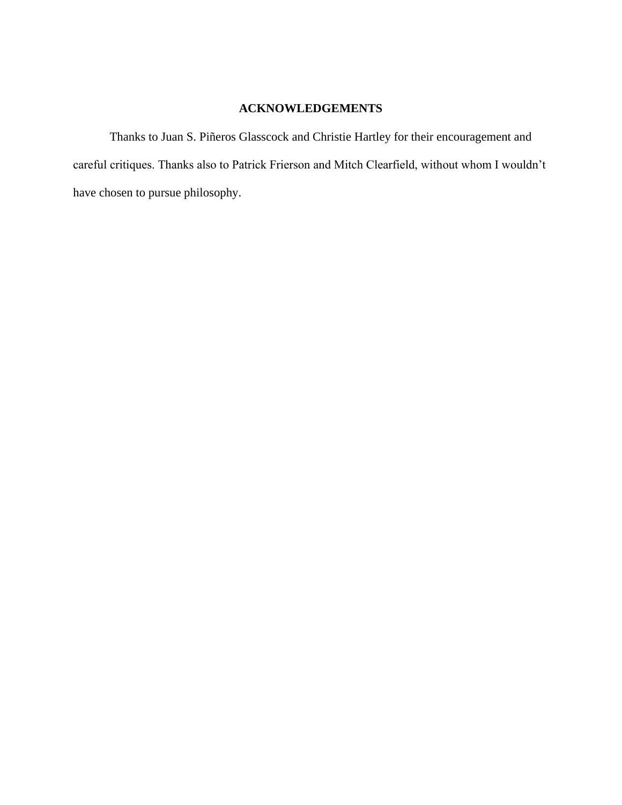### **ACKNOWLEDGEMENTS**

<span id="page-5-0"></span>Thanks to Juan S. Piñeros Glasscock and Christie Hartley for their encouragement and careful critiques. Thanks also to Patrick Frierson and Mitch Clearfield, without whom I wouldn't have chosen to pursue philosophy.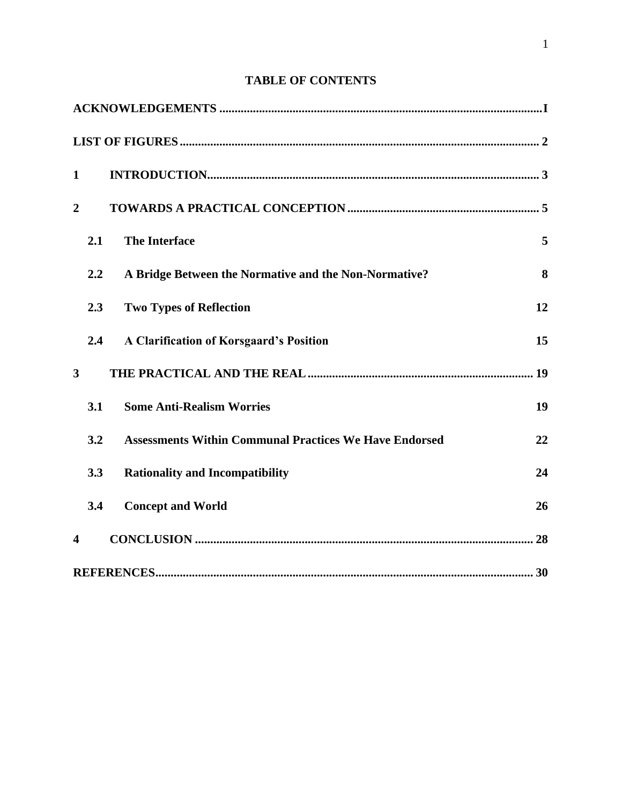## **TABLE OF CONTENTS**

| $\mathbf{1}$            |     |                                                               |    |
|-------------------------|-----|---------------------------------------------------------------|----|
| $\overline{2}$          |     |                                                               |    |
|                         | 2.1 | <b>The Interface</b>                                          | 5  |
|                         | 2.2 | A Bridge Between the Normative and the Non-Normative?         | 8  |
|                         | 2.3 | <b>Two Types of Reflection</b>                                | 12 |
|                         | 2.4 | <b>A Clarification of Korsgaard's Position</b>                | 15 |
| $\overline{\mathbf{3}}$ |     |                                                               |    |
|                         | 3.1 | <b>Some Anti-Realism Worries</b>                              | 19 |
|                         | 3.2 | <b>Assessments Within Communal Practices We Have Endorsed</b> | 22 |
|                         | 3.3 | <b>Rationality and Incompatibility</b>                        | 24 |
|                         | 3.4 | <b>Concept and World</b>                                      | 26 |
| $\overline{\mathbf{4}}$ |     |                                                               |    |
|                         |     |                                                               |    |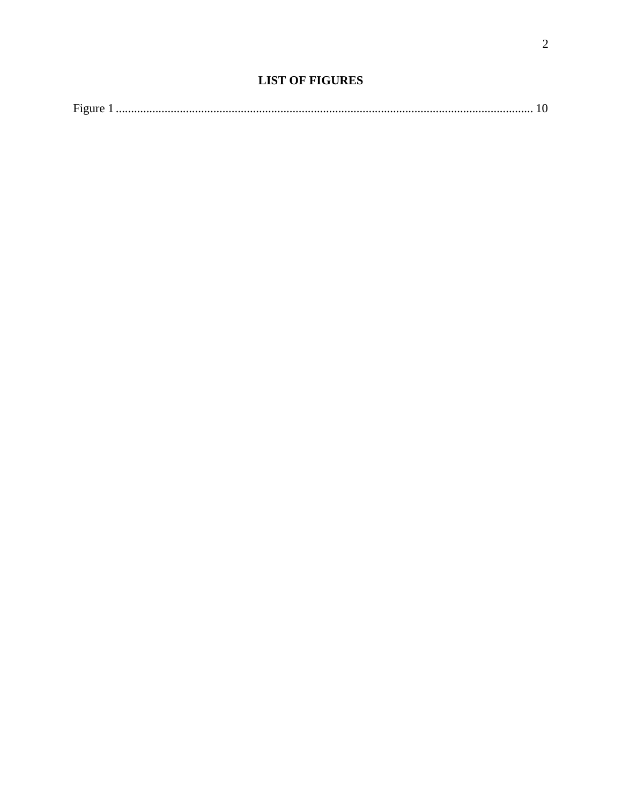<span id="page-7-0"></span>

| $\overline{\phantom{a}}$ |  |  |
|--------------------------|--|--|
|--------------------------|--|--|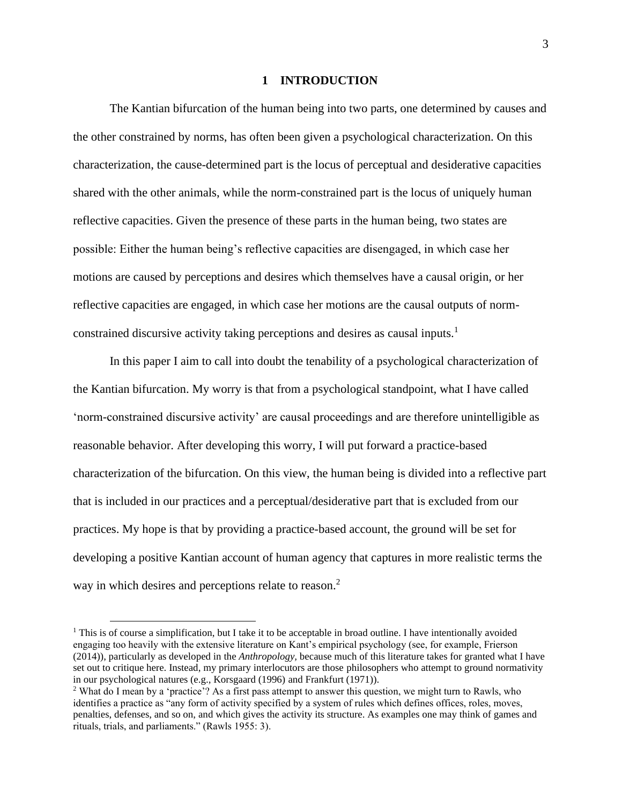#### **1 INTRODUCTION**

<span id="page-8-0"></span>The Kantian bifurcation of the human being into two parts, one determined by causes and the other constrained by norms, has often been given a psychological characterization. On this characterization, the cause-determined part is the locus of perceptual and desiderative capacities shared with the other animals, while the norm-constrained part is the locus of uniquely human reflective capacities. Given the presence of these parts in the human being, two states are possible: Either the human being's reflective capacities are disengaged, in which case her motions are caused by perceptions and desires which themselves have a causal origin, or her reflective capacities are engaged, in which case her motions are the causal outputs of normconstrained discursive activity taking perceptions and desires as causal inputs.<sup>1</sup>

In this paper I aim to call into doubt the tenability of a psychological characterization of the Kantian bifurcation. My worry is that from a psychological standpoint, what I have called 'norm-constrained discursive activity' are causal proceedings and are therefore unintelligible as reasonable behavior. After developing this worry, I will put forward a practice-based characterization of the bifurcation. On this view, the human being is divided into a reflective part that is included in our practices and a perceptual/desiderative part that is excluded from our practices. My hope is that by providing a practice-based account, the ground will be set for developing a positive Kantian account of human agency that captures in more realistic terms the way in which desires and perceptions relate to reason.<sup>2</sup>

<sup>&</sup>lt;sup>1</sup> This is of course a simplification, but I take it to be acceptable in broad outline. I have intentionally avoided engaging too heavily with the extensive literature on Kant's empirical psychology (see, for example, Frierson (2014)), particularly as developed in the *Anthropology,* because much of this literature takes for granted what I have set out to critique here. Instead, my primary interlocutors are those philosophers who attempt to ground normativity in our psychological natures (e.g., Korsgaard (1996) and Frankfurt (1971)).

<sup>2</sup> What do I mean by a 'practice'? As a first pass attempt to answer this question, we might turn to Rawls, who identifies a practice as "any form of activity specified by a system of rules which defines offices, roles, moves, penalties, defenses, and so on, and which gives the activity its structure. As examples one may think of games and rituals, trials, and parliaments." (Rawls 1955: 3).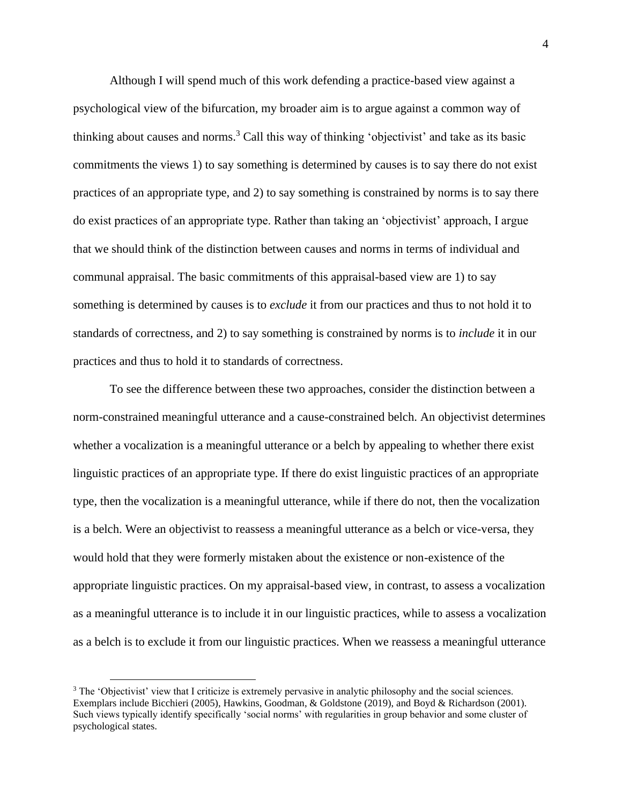Although I will spend much of this work defending a practice-based view against a psychological view of the bifurcation, my broader aim is to argue against a common way of thinking about causes and norms.<sup>3</sup> Call this way of thinking 'objectivist' and take as its basic commitments the views 1) to say something is determined by causes is to say there do not exist practices of an appropriate type, and 2) to say something is constrained by norms is to say there do exist practices of an appropriate type. Rather than taking an 'objectivist' approach, I argue that we should think of the distinction between causes and norms in terms of individual and communal appraisal. The basic commitments of this appraisal-based view are 1) to say something is determined by causes is to *exclude* it from our practices and thus to not hold it to standards of correctness, and 2) to say something is constrained by norms is to *include* it in our practices and thus to hold it to standards of correctness.

To see the difference between these two approaches, consider the distinction between a norm-constrained meaningful utterance and a cause-constrained belch. An objectivist determines whether a vocalization is a meaningful utterance or a belch by appealing to whether there exist linguistic practices of an appropriate type. If there do exist linguistic practices of an appropriate type, then the vocalization is a meaningful utterance, while if there do not, then the vocalization is a belch. Were an objectivist to reassess a meaningful utterance as a belch or vice-versa, they would hold that they were formerly mistaken about the existence or non-existence of the appropriate linguistic practices. On my appraisal-based view, in contrast, to assess a vocalization as a meaningful utterance is to include it in our linguistic practices, while to assess a vocalization as a belch is to exclude it from our linguistic practices. When we reassess a meaningful utterance

<sup>&</sup>lt;sup>3</sup> The 'Objectivist' view that I criticize is extremely pervasive in analytic philosophy and the social sciences. Exemplars include Bicchieri (2005), Hawkins, Goodman, & Goldstone (2019), and Boyd & Richardson (2001). Such views typically identify specifically 'social norms' with regularities in group behavior and some cluster of psychological states.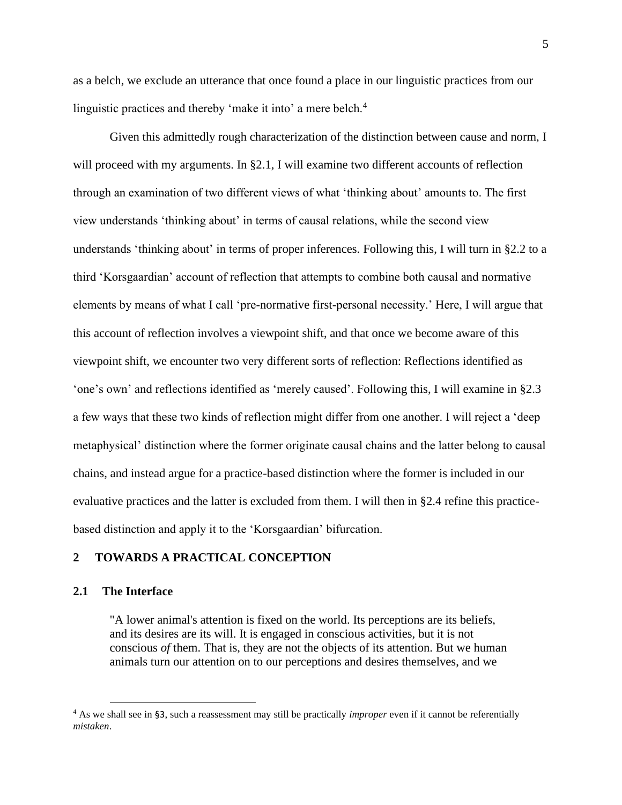as a belch, we exclude an utterance that once found a place in our linguistic practices from our linguistic practices and thereby 'make it into' a mere belch.<sup>4</sup>

Given this admittedly rough characterization of the distinction between cause and norm, I will proceed with my arguments. In §2.1, I will examine two different accounts of reflection through an examination of two different views of what 'thinking about' amounts to. The first view understands 'thinking about' in terms of causal relations, while the second view understands 'thinking about' in terms of proper inferences. Following this, I will turn in §2.2 to a third 'Korsgaardian' account of reflection that attempts to combine both causal and normative elements by means of what I call 'pre-normative first-personal necessity.' Here, I will argue that this account of reflection involves a viewpoint shift, and that once we become aware of this viewpoint shift, we encounter two very different sorts of reflection: Reflections identified as 'one's own' and reflections identified as 'merely caused'. Following this, I will examine in §2.3 a few ways that these two kinds of reflection might differ from one another. I will reject a 'deep metaphysical' distinction where the former originate causal chains and the latter belong to causal chains, and instead argue for a practice-based distinction where the former is included in our evaluative practices and the latter is excluded from them. I will then in §2.4 refine this practicebased distinction and apply it to the 'Korsgaardian' bifurcation.

#### <span id="page-10-0"></span>**2 TOWARDS A PRACTICAL CONCEPTION**

#### <span id="page-10-1"></span>**2.1 The Interface**

"A lower animal's attention is fixed on the world. Its perceptions are its beliefs, and its desires are its will. It is engaged in conscious activities, but it is not conscious *of* them. That is, they are not the objects of its attention. But we human animals turn our attention on to our perceptions and desires themselves, and we

<sup>4</sup> As we shall see in §3, such a reassessment may still be practically *improper* even if it cannot be referentially *mistaken*.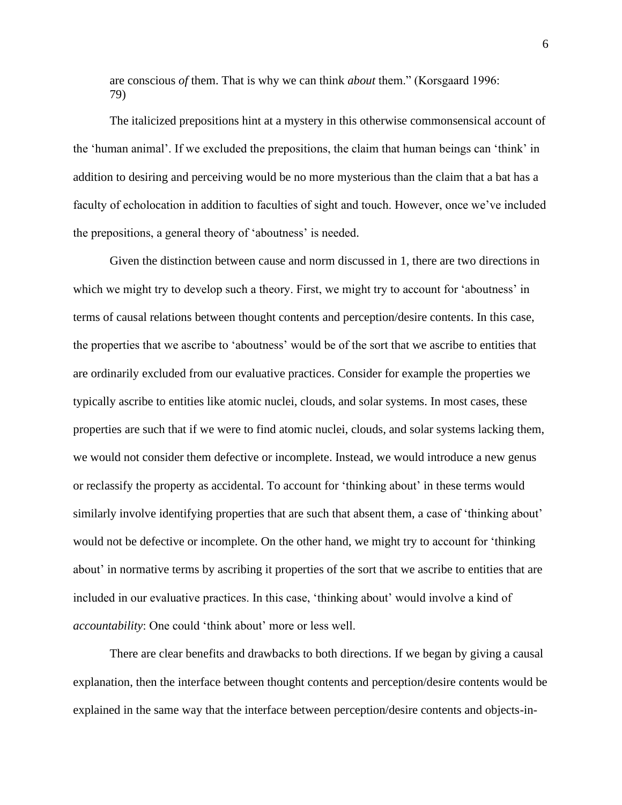are conscious *of* them. That is why we can think *about* them." (Korsgaard 1996: 79)

The italicized prepositions hint at a mystery in this otherwise commonsensical account of the 'human animal'. If we excluded the prepositions, the claim that human beings can 'think' in addition to desiring and perceiving would be no more mysterious than the claim that a bat has a faculty of echolocation in addition to faculties of sight and touch. However, once we've included the prepositions, a general theory of 'aboutness' is needed.

Given the distinction between cause and norm discussed in 1, there are two directions in which we might try to develop such a theory. First, we might try to account for 'aboutness' in terms of causal relations between thought contents and perception/desire contents. In this case, the properties that we ascribe to 'aboutness' would be of the sort that we ascribe to entities that are ordinarily excluded from our evaluative practices. Consider for example the properties we typically ascribe to entities like atomic nuclei, clouds, and solar systems. In most cases, these properties are such that if we were to find atomic nuclei, clouds, and solar systems lacking them, we would not consider them defective or incomplete. Instead, we would introduce a new genus or reclassify the property as accidental. To account for 'thinking about' in these terms would similarly involve identifying properties that are such that absent them, a case of 'thinking about' would not be defective or incomplete. On the other hand, we might try to account for 'thinking about' in normative terms by ascribing it properties of the sort that we ascribe to entities that are included in our evaluative practices. In this case, 'thinking about' would involve a kind of *accountability*: One could 'think about' more or less well.

There are clear benefits and drawbacks to both directions. If we began by giving a causal explanation, then the interface between thought contents and perception/desire contents would be explained in the same way that the interface between perception/desire contents and objects-in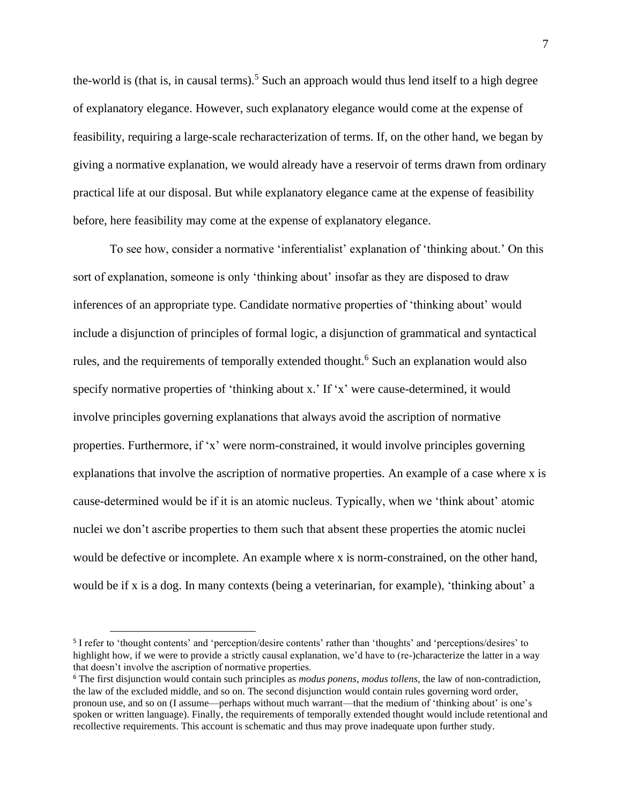the-world is (that is, in causal terms).<sup>5</sup> Such an approach would thus lend itself to a high degree of explanatory elegance. However, such explanatory elegance would come at the expense of feasibility, requiring a large-scale recharacterization of terms. If, on the other hand, we began by giving a normative explanation, we would already have a reservoir of terms drawn from ordinary practical life at our disposal. But while explanatory elegance came at the expense of feasibility before, here feasibility may come at the expense of explanatory elegance.

To see how, consider a normative 'inferentialist' explanation of 'thinking about.' On this sort of explanation, someone is only 'thinking about' insofar as they are disposed to draw inferences of an appropriate type. Candidate normative properties of 'thinking about' would include a disjunction of principles of formal logic, a disjunction of grammatical and syntactical rules, and the requirements of temporally extended thought.<sup>6</sup> Such an explanation would also specify normative properties of 'thinking about x.' If 'x' were cause-determined, it would involve principles governing explanations that always avoid the ascription of normative properties. Furthermore, if 'x' were norm-constrained, it would involve principles governing explanations that involve the ascription of normative properties. An example of a case where x is cause-determined would be if it is an atomic nucleus. Typically, when we 'think about' atomic nuclei we don't ascribe properties to them such that absent these properties the atomic nuclei would be defective or incomplete. An example where x is norm-constrained, on the other hand, would be if x is a dog. In many contexts (being a veterinarian, for example), 'thinking about' a

<sup>&</sup>lt;sup>5</sup> I refer to 'thought contents' and 'perception/desire contents' rather than 'thoughts' and 'perceptions/desires' to highlight how, if we were to provide a strictly causal explanation, we'd have to (re-)characterize the latter in a way that doesn't involve the ascription of normative properties.

<sup>6</sup> The first disjunction would contain such principles as *modus ponens*, *modus tollens*, the law of non-contradiction, the law of the excluded middle, and so on. The second disjunction would contain rules governing word order, pronoun use, and so on (I assume—perhaps without much warrant—that the medium of 'thinking about' is one's spoken or written language). Finally, the requirements of temporally extended thought would include retentional and recollective requirements. This account is schematic and thus may prove inadequate upon further study.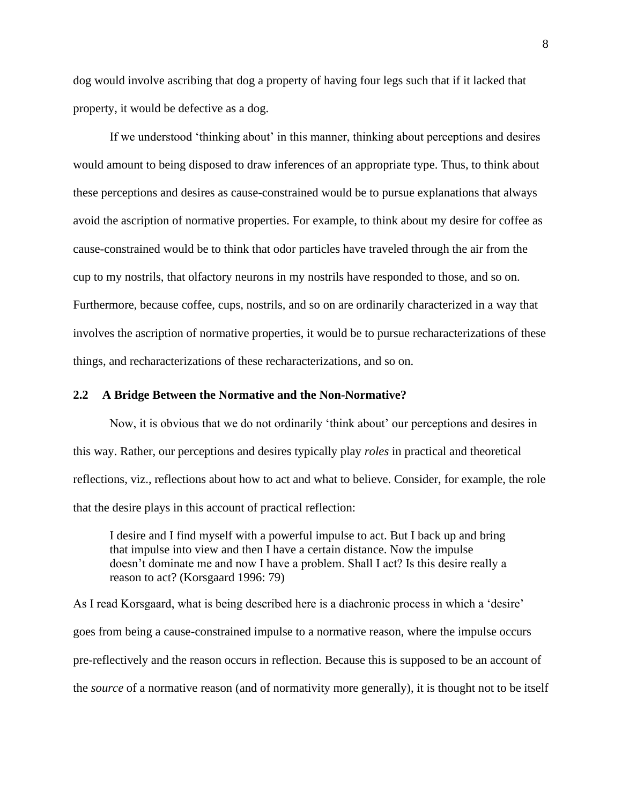dog would involve ascribing that dog a property of having four legs such that if it lacked that property, it would be defective as a dog.

If we understood 'thinking about' in this manner, thinking about perceptions and desires would amount to being disposed to draw inferences of an appropriate type. Thus, to think about these perceptions and desires as cause-constrained would be to pursue explanations that always avoid the ascription of normative properties. For example, to think about my desire for coffee as cause-constrained would be to think that odor particles have traveled through the air from the cup to my nostrils, that olfactory neurons in my nostrils have responded to those, and so on. Furthermore, because coffee, cups, nostrils, and so on are ordinarily characterized in a way that involves the ascription of normative properties, it would be to pursue recharacterizations of these things, and recharacterizations of these recharacterizations, and so on.

#### <span id="page-13-0"></span>**2.2 A Bridge Between the Normative and the Non-Normative?**

Now, it is obvious that we do not ordinarily 'think about' our perceptions and desires in this way. Rather, our perceptions and desires typically play *roles* in practical and theoretical reflections, viz., reflections about how to act and what to believe. Consider, for example, the role that the desire plays in this account of practical reflection:

I desire and I find myself with a powerful impulse to act. But I back up and bring that impulse into view and then I have a certain distance. Now the impulse doesn't dominate me and now I have a problem. Shall I act? Is this desire really a reason to act? (Korsgaard 1996: 79)

As I read Korsgaard, what is being described here is a diachronic process in which a 'desire' goes from being a cause-constrained impulse to a normative reason, where the impulse occurs pre-reflectively and the reason occurs in reflection. Because this is supposed to be an account of the *source* of a normative reason (and of normativity more generally), it is thought not to be itself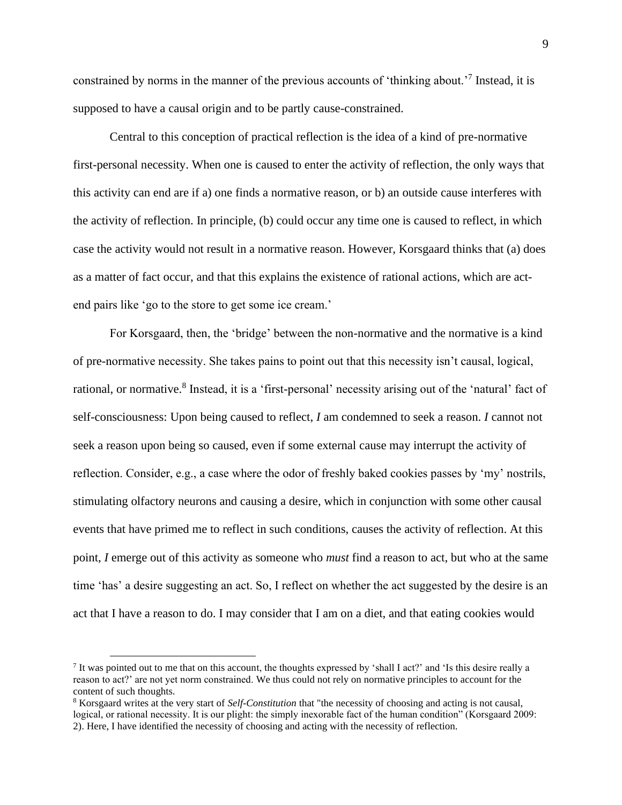constrained by norms in the manner of the previous accounts of 'thinking about.'<sup>7</sup> Instead, it is supposed to have a causal origin and to be partly cause-constrained.

Central to this conception of practical reflection is the idea of a kind of pre-normative first-personal necessity. When one is caused to enter the activity of reflection, the only ways that this activity can end are if a) one finds a normative reason, or b) an outside cause interferes with the activity of reflection. In principle, (b) could occur any time one is caused to reflect, in which case the activity would not result in a normative reason. However, Korsgaard thinks that (a) does as a matter of fact occur, and that this explains the existence of rational actions, which are actend pairs like 'go to the store to get some ice cream.'

For Korsgaard, then, the 'bridge' between the non-normative and the normative is a kind of pre-normative necessity. She takes pains to point out that this necessity isn't causal, logical, rational, or normative.<sup>8</sup> Instead, it is a 'first-personal' necessity arising out of the 'natural' fact of self-consciousness: Upon being caused to reflect, *I* am condemned to seek a reason. *I* cannot not seek a reason upon being so caused, even if some external cause may interrupt the activity of reflection. Consider, e.g., a case where the odor of freshly baked cookies passes by 'my' nostrils, stimulating olfactory neurons and causing a desire, which in conjunction with some other causal events that have primed me to reflect in such conditions, causes the activity of reflection. At this point, *I* emerge out of this activity as someone who *must* find a reason to act, but who at the same time 'has' a desire suggesting an act. So, I reflect on whether the act suggested by the desire is an act that I have a reason to do. I may consider that I am on a diet, and that eating cookies would

<sup>7</sup> It was pointed out to me that on this account, the thoughts expressed by 'shall I act?' and 'Is this desire really a reason to act?' are not yet norm constrained. We thus could not rely on normative principles to account for the content of such thoughts.

<sup>8</sup> Korsgaard writes at the very start of *Self-Constitution* that "the necessity of choosing and acting is not causal, logical, or rational necessity. It is our plight: the simply inexorable fact of the human condition" (Korsgaard 2009: 2). Here, I have identified the necessity of choosing and acting with the necessity of reflection.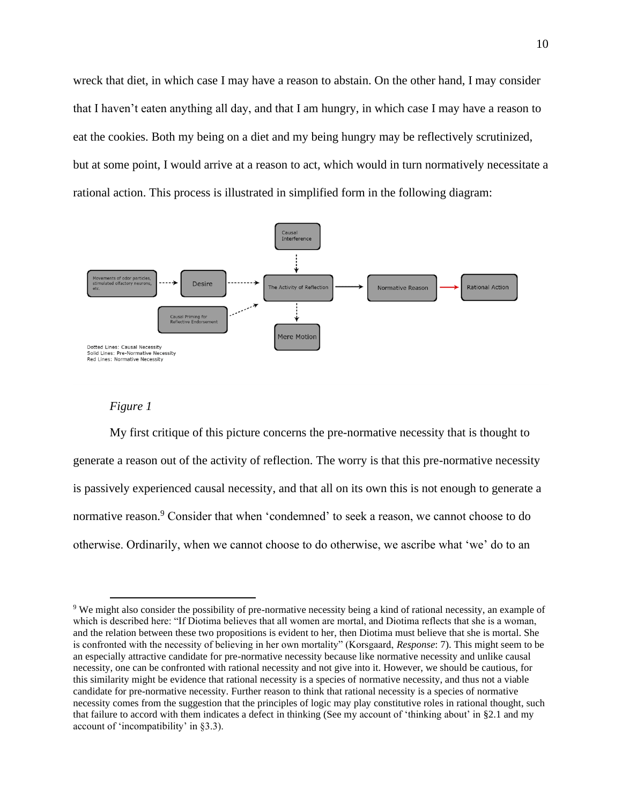wreck that diet, in which case I may have a reason to abstain. On the other hand, I may consider that I haven't eaten anything all day, and that I am hungry, in which case I may have a reason to eat the cookies. Both my being on a diet and my being hungry may be reflectively scrutinized, but at some point, I would arrive at a reason to act, which would in turn normatively necessitate a rational action. This process is illustrated in simplified form in the following diagram:



#### *Figure 1*

<span id="page-15-0"></span>My first critique of this picture concerns the pre-normative necessity that is thought to generate a reason out of the activity of reflection. The worry is that this pre-normative necessity is passively experienced causal necessity, and that all on its own this is not enough to generate a normative reason.<sup>9</sup> Consider that when 'condemned' to seek a reason, we cannot choose to do otherwise. Ordinarily, when we cannot choose to do otherwise, we ascribe what 'we' do to an

<sup>9</sup> We might also consider the possibility of pre-normative necessity being a kind of rational necessity, an example of which is described here: "If Diotima believes that all women are mortal, and Diotima reflects that she is a woman, and the relation between these two propositions is evident to her, then Diotima must believe that she is mortal. She is confronted with the necessity of believing in her own mortality" (Korsgaard, *Response*: 7). This might seem to be an especially attractive candidate for pre-normative necessity because like normative necessity and unlike causal necessity, one can be confronted with rational necessity and not give into it. However, we should be cautious, for this similarity might be evidence that rational necessity is a species of normative necessity, and thus not a viable candidate for pre-normative necessity. Further reason to think that rational necessity is a species of normative necessity comes from the suggestion that the principles of logic may play constitutive roles in rational thought, such that failure to accord with them indicates a defect in thinking (See my account of 'thinking about' in §2.1 and my account of 'incompatibility' in §3.3).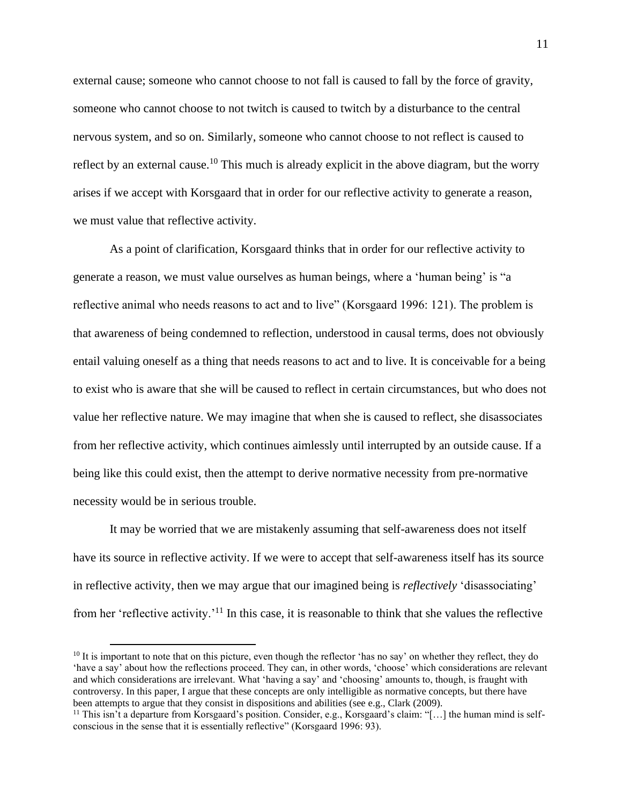external cause; someone who cannot choose to not fall is caused to fall by the force of gravity, someone who cannot choose to not twitch is caused to twitch by a disturbance to the central nervous system, and so on. Similarly, someone who cannot choose to not reflect is caused to reflect by an external cause.<sup>10</sup> This much is already explicit in the above diagram, but the worry arises if we accept with Korsgaard that in order for our reflective activity to generate a reason, we must value that reflective activity.

As a point of clarification, Korsgaard thinks that in order for our reflective activity to generate a reason, we must value ourselves as human beings, where a 'human being' is "a reflective animal who needs reasons to act and to live" (Korsgaard 1996: 121). The problem is that awareness of being condemned to reflection, understood in causal terms, does not obviously entail valuing oneself as a thing that needs reasons to act and to live. It is conceivable for a being to exist who is aware that she will be caused to reflect in certain circumstances, but who does not value her reflective nature. We may imagine that when she is caused to reflect, she disassociates from her reflective activity, which continues aimlessly until interrupted by an outside cause. If a being like this could exist, then the attempt to derive normative necessity from pre-normative necessity would be in serious trouble.

It may be worried that we are mistakenly assuming that self-awareness does not itself have its source in reflective activity. If we were to accept that self-awareness itself has its source in reflective activity, then we may argue that our imagined being is *reflectively* 'disassociating' from her 'reflective activity.'<sup>11</sup> In this case, it is reasonable to think that she values the reflective

 $10$  It is important to note that on this picture, even though the reflector 'has no say' on whether they reflect, they do 'have a say' about how the reflections proceed. They can, in other words, 'choose' which considerations are relevant and which considerations are irrelevant. What 'having a say' and 'choosing' amounts to, though, is fraught with controversy. In this paper, I argue that these concepts are only intelligible as normative concepts, but there have been attempts to argue that they consist in dispositions and abilities (see e.g., Clark (2009).

<sup>&</sup>lt;sup>11</sup> This isn't a departure from Korsgaard's position. Consider, e.g., Korsgaard's claim: "[...] the human mind is selfconscious in the sense that it is essentially reflective" (Korsgaard 1996: 93).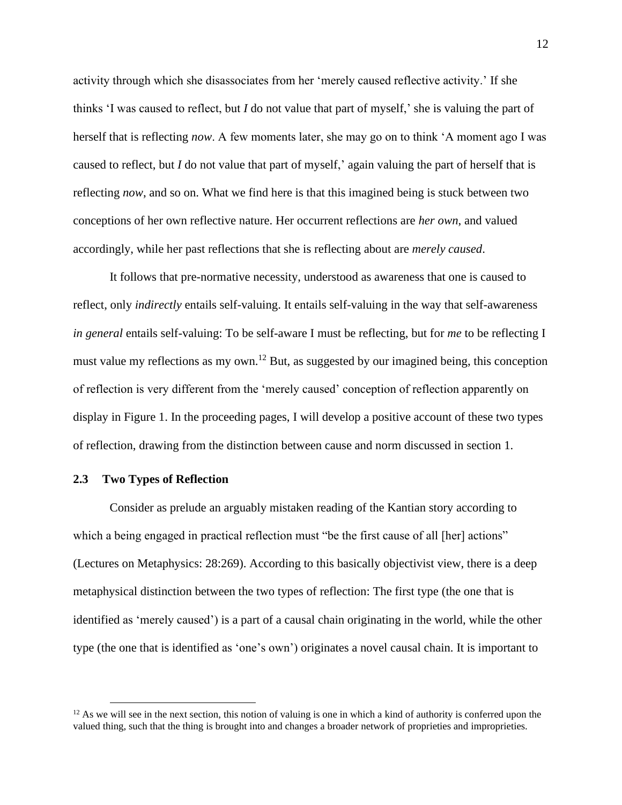activity through which she disassociates from her 'merely caused reflective activity.' If she thinks 'I was caused to reflect, but *I* do not value that part of myself,' she is valuing the part of herself that is reflecting *now*. A few moments later, she may go on to think 'A moment ago I was caused to reflect, but *I* do not value that part of myself,' again valuing the part of herself that is reflecting *now*, and so on. What we find here is that this imagined being is stuck between two conceptions of her own reflective nature. Her occurrent reflections are *her own*, and valued accordingly, while her past reflections that she is reflecting about are *merely caused*.

It follows that pre-normative necessity, understood as awareness that one is caused to reflect, only *indirectly* entails self-valuing. It entails self-valuing in the way that self-awareness *in general* entails self-valuing: To be self-aware I must be reflecting, but for *me* to be reflecting I must value my reflections as my own.<sup>12</sup> But, as suggested by our imagined being, this conception of reflection is very different from the 'merely caused' conception of reflection apparently on display in Figure 1. In the proceeding pages, I will develop a positive account of these two types of reflection, drawing from the distinction between cause and norm discussed in section 1.

#### <span id="page-17-0"></span>**2.3 Two Types of Reflection**

Consider as prelude an arguably mistaken reading of the Kantian story according to which a being engaged in practical reflection must "be the first cause of all [her] actions" (Lectures on Metaphysics: 28:269). According to this basically objectivist view, there is a deep metaphysical distinction between the two types of reflection: The first type (the one that is identified as 'merely caused') is a part of a causal chain originating in the world, while the other type (the one that is identified as 'one's own') originates a novel causal chain. It is important to

 $12$  As we will see in the next section, this notion of valuing is one in which a kind of authority is conferred upon the valued thing, such that the thing is brought into and changes a broader network of proprieties and improprieties.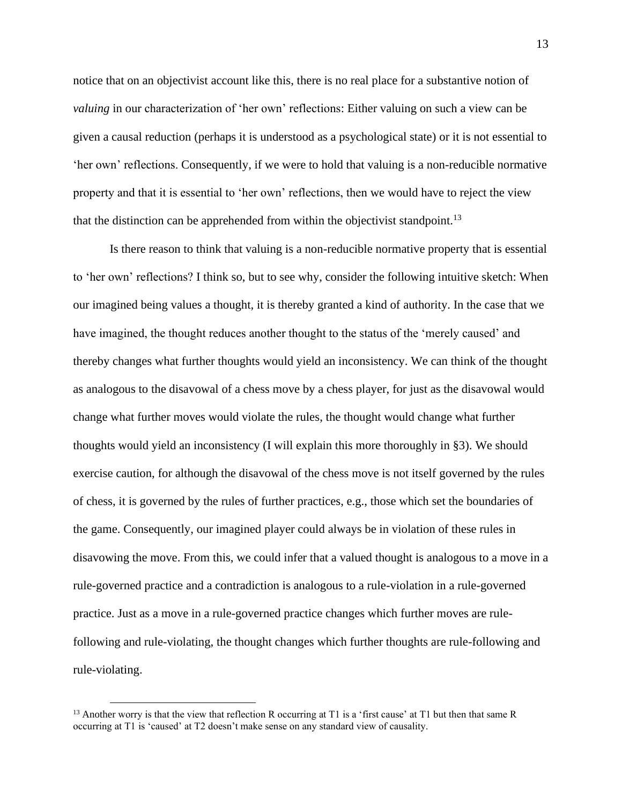notice that on an objectivist account like this, there is no real place for a substantive notion of *valuing* in our characterization of 'her own' reflections: Either valuing on such a view can be given a causal reduction (perhaps it is understood as a psychological state) or it is not essential to 'her own' reflections. Consequently, if we were to hold that valuing is a non-reducible normative property and that it is essential to 'her own' reflections, then we would have to reject the view that the distinction can be apprehended from within the objectivist standpoint.<sup>13</sup>

Is there reason to think that valuing is a non-reducible normative property that is essential to 'her own' reflections? I think so, but to see why, consider the following intuitive sketch: When our imagined being values a thought, it is thereby granted a kind of authority. In the case that we have imagined, the thought reduces another thought to the status of the 'merely caused' and thereby changes what further thoughts would yield an inconsistency. We can think of the thought as analogous to the disavowal of a chess move by a chess player, for just as the disavowal would change what further moves would violate the rules, the thought would change what further thoughts would yield an inconsistency (I will explain this more thoroughly in §3). We should exercise caution, for although the disavowal of the chess move is not itself governed by the rules of chess, it is governed by the rules of further practices, e.g., those which set the boundaries of the game. Consequently, our imagined player could always be in violation of these rules in disavowing the move. From this, we could infer that a valued thought is analogous to a move in a rule-governed practice and a contradiction is analogous to a rule-violation in a rule-governed practice. Just as a move in a rule-governed practice changes which further moves are rulefollowing and rule-violating, the thought changes which further thoughts are rule-following and rule-violating.

 $13$  Another worry is that the view that reflection R occurring at T1 is a 'first cause' at T1 but then that same R occurring at T1 is 'caused' at T2 doesn't make sense on any standard view of causality.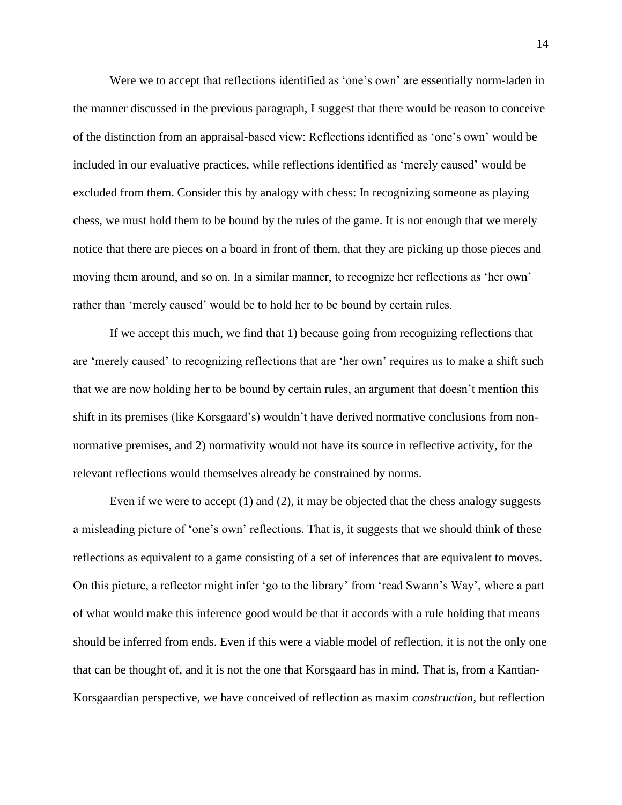Were we to accept that reflections identified as 'one's own' are essentially norm-laden in the manner discussed in the previous paragraph, I suggest that there would be reason to conceive of the distinction from an appraisal-based view: Reflections identified as 'one's own' would be included in our evaluative practices, while reflections identified as 'merely caused' would be excluded from them. Consider this by analogy with chess: In recognizing someone as playing chess, we must hold them to be bound by the rules of the game. It is not enough that we merely notice that there are pieces on a board in front of them, that they are picking up those pieces and moving them around, and so on. In a similar manner, to recognize her reflections as 'her own' rather than 'merely caused' would be to hold her to be bound by certain rules.

If we accept this much, we find that 1) because going from recognizing reflections that are 'merely caused' to recognizing reflections that are 'her own' requires us to make a shift such that we are now holding her to be bound by certain rules, an argument that doesn't mention this shift in its premises (like Korsgaard's) wouldn't have derived normative conclusions from nonnormative premises, and 2) normativity would not have its source in reflective activity, for the relevant reflections would themselves already be constrained by norms.

Even if we were to accept (1) and (2), it may be objected that the chess analogy suggests a misleading picture of 'one's own' reflections. That is, it suggests that we should think of these reflections as equivalent to a game consisting of a set of inferences that are equivalent to moves. On this picture, a reflector might infer 'go to the library' from 'read Swann's Way', where a part of what would make this inference good would be that it accords with a rule holding that means should be inferred from ends. Even if this were a viable model of reflection, it is not the only one that can be thought of, and it is not the one that Korsgaard has in mind. That is, from a Kantian-Korsgaardian perspective, we have conceived of reflection as maxim *construction*, but reflection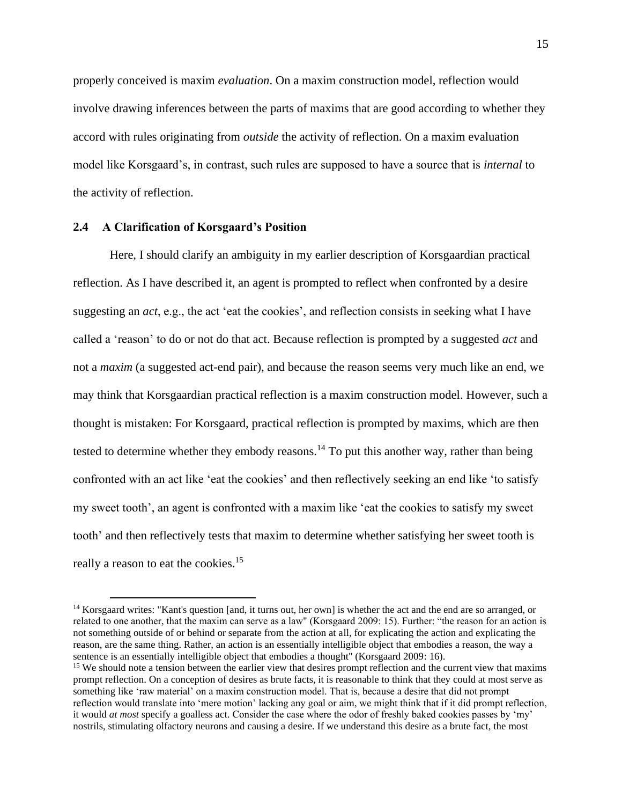properly conceived is maxim *evaluation*. On a maxim construction model, reflection would involve drawing inferences between the parts of maxims that are good according to whether they accord with rules originating from *outside* the activity of reflection. On a maxim evaluation model like Korsgaard's, in contrast, such rules are supposed to have a source that is *internal* to the activity of reflection.

#### <span id="page-20-0"></span>**2.4 A Clarification of Korsgaard's Position**

Here, I should clarify an ambiguity in my earlier description of Korsgaardian practical reflection. As I have described it, an agent is prompted to reflect when confronted by a desire suggesting an *act*, e.g., the act 'eat the cookies', and reflection consists in seeking what I have called a 'reason' to do or not do that act. Because reflection is prompted by a suggested *act* and not a *maxim* (a suggested act-end pair), and because the reason seems very much like an end, we may think that Korsgaardian practical reflection is a maxim construction model. However, such a thought is mistaken: For Korsgaard, practical reflection is prompted by maxims, which are then tested to determine whether they embody reasons.<sup>14</sup> To put this another way, rather than being confronted with an act like 'eat the cookies' and then reflectively seeking an end like 'to satisfy my sweet tooth', an agent is confronted with a maxim like 'eat the cookies to satisfy my sweet tooth' and then reflectively tests that maxim to determine whether satisfying her sweet tooth is really a reason to eat the cookies.<sup>15</sup>

<sup>&</sup>lt;sup>14</sup> Korsgaard writes: "Kant's question [and, it turns out, her own] is whether the act and the end are so arranged, or related to one another, that the maxim can serve as a law" (Korsgaard 2009: 15). Further: "the reason for an action is not something outside of or behind or separate from the action at all, for explicating the action and explicating the reason, are the same thing. Rather, an action is an essentially intelligible object that embodies a reason, the way a sentence is an essentially intelligible object that embodies a thought" (Korsgaard 2009: 16).

<sup>&</sup>lt;sup>15</sup> We should note a tension between the earlier view that desires prompt reflection and the current view that maxims prompt reflection. On a conception of desires as brute facts, it is reasonable to think that they could at most serve as something like 'raw material' on a maxim construction model. That is, because a desire that did not prompt reflection would translate into 'mere motion' lacking any goal or aim, we might think that if it did prompt reflection, it would *at most* specify a goalless act. Consider the case where the odor of freshly baked cookies passes by 'my' nostrils, stimulating olfactory neurons and causing a desire. If we understand this desire as a brute fact, the most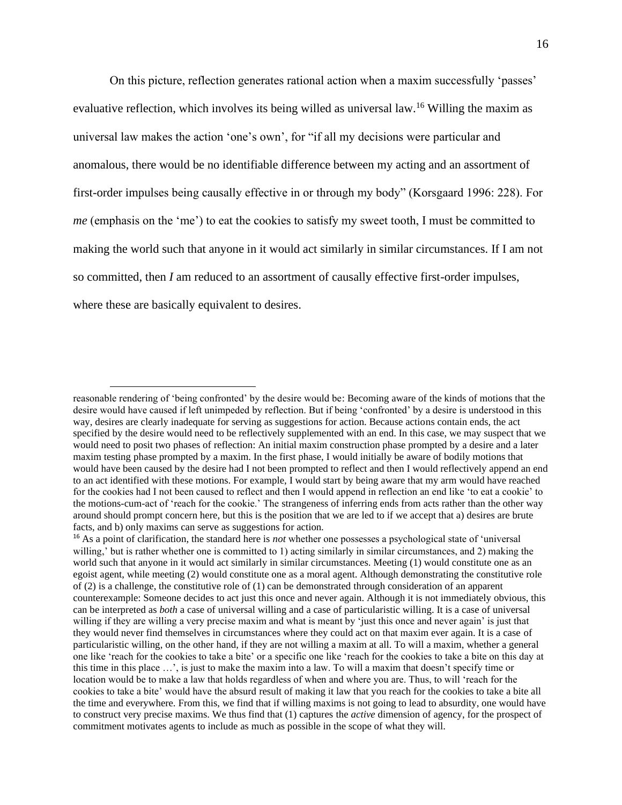On this picture, reflection generates rational action when a maxim successfully 'passes' evaluative reflection, which involves its being willed as universal law.<sup>16</sup> Willing the maxim as universal law makes the action 'one's own', for "if all my decisions were particular and anomalous, there would be no identifiable difference between my acting and an assortment of first-order impulses being causally effective in or through my body" (Korsgaard 1996: 228). For *me* (emphasis on the 'me') to eat the cookies to satisfy my sweet tooth, I must be committed to making the world such that anyone in it would act similarly in similar circumstances. If I am not so committed, then *I* am reduced to an assortment of causally effective first-order impulses, where these are basically equivalent to desires.

reasonable rendering of 'being confronted' by the desire would be: Becoming aware of the kinds of motions that the desire would have caused if left unimpeded by reflection. But if being 'confronted' by a desire is understood in this way, desires are clearly inadequate for serving as suggestions for action. Because actions contain ends, the act specified by the desire would need to be reflectively supplemented with an end. In this case, we may suspect that we would need to posit two phases of reflection: An initial maxim construction phase prompted by a desire and a later maxim testing phase prompted by a maxim. In the first phase, I would initially be aware of bodily motions that would have been caused by the desire had I not been prompted to reflect and then I would reflectively append an end to an act identified with these motions. For example, I would start by being aware that my arm would have reached for the cookies had I not been caused to reflect and then I would append in reflection an end like 'to eat a cookie' to the motions-cum-act of 'reach for the cookie.' The strangeness of inferring ends from acts rather than the other way around should prompt concern here, but this is the position that we are led to if we accept that a) desires are brute facts, and b) only maxims can serve as suggestions for action.

<sup>16</sup> As a point of clarification, the standard here is *not* whether one possesses a psychological state of 'universal willing,' but is rather whether one is committed to 1) acting similarly in similar circumstances, and 2) making the world such that anyone in it would act similarly in similar circumstances. Meeting (1) would constitute one as an egoist agent, while meeting (2) would constitute one as a moral agent. Although demonstrating the constitutive role of (2) is a challenge, the constitutive role of (1) can be demonstrated through consideration of an apparent counterexample: Someone decides to act just this once and never again. Although it is not immediately obvious, this can be interpreted as *both* a case of universal willing and a case of particularistic willing. It is a case of universal willing if they are willing a very precise maxim and what is meant by 'just this once and never again' is just that they would never find themselves in circumstances where they could act on that maxim ever again. It is a case of particularistic willing, on the other hand, if they are not willing a maxim at all. To will a maxim, whether a general one like 'reach for the cookies to take a bite' or a specific one like 'reach for the cookies to take a bite on this day at this time in this place …', is just to make the maxim into a law. To will a maxim that doesn't specify time or location would be to make a law that holds regardless of when and where you are. Thus, to will 'reach for the cookies to take a bite' would have the absurd result of making it law that you reach for the cookies to take a bite all the time and everywhere. From this, we find that if willing maxims is not going to lead to absurdity, one would have to construct very precise maxims. We thus find that (1) captures the *active* dimension of agency, for the prospect of commitment motivates agents to include as much as possible in the scope of what they will.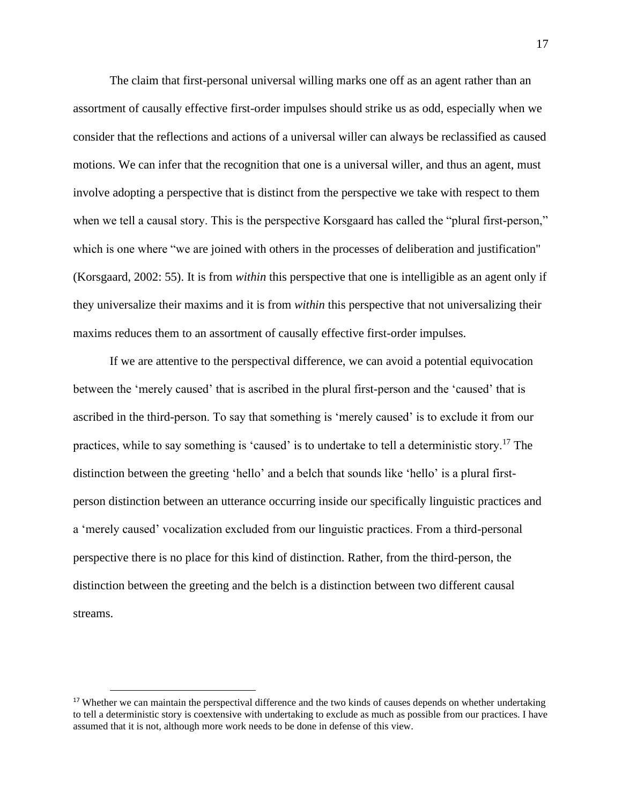The claim that first-personal universal willing marks one off as an agent rather than an assortment of causally effective first-order impulses should strike us as odd, especially when we consider that the reflections and actions of a universal willer can always be reclassified as caused motions. We can infer that the recognition that one is a universal willer, and thus an agent, must involve adopting a perspective that is distinct from the perspective we take with respect to them when we tell a causal story. This is the perspective Korsgaard has called the "plural first-person," which is one where "we are joined with others in the processes of deliberation and justification" (Korsgaard, 2002: 55). It is from *within* this perspective that one is intelligible as an agent only if they universalize their maxims and it is from *within* this perspective that not universalizing their maxims reduces them to an assortment of causally effective first-order impulses.

If we are attentive to the perspectival difference, we can avoid a potential equivocation between the 'merely caused' that is ascribed in the plural first-person and the 'caused' that is ascribed in the third-person. To say that something is 'merely caused' is to exclude it from our practices, while to say something is 'caused' is to undertake to tell a deterministic story.<sup>17</sup> The distinction between the greeting 'hello' and a belch that sounds like 'hello' is a plural firstperson distinction between an utterance occurring inside our specifically linguistic practices and a 'merely caused' vocalization excluded from our linguistic practices. From a third-personal perspective there is no place for this kind of distinction. Rather, from the third-person, the distinction between the greeting and the belch is a distinction between two different causal streams.

<sup>&</sup>lt;sup>17</sup> Whether we can maintain the perspectival difference and the two kinds of causes depends on whether undertaking to tell a deterministic story is coextensive with undertaking to exclude as much as possible from our practices. I have assumed that it is not, although more work needs to be done in defense of this view.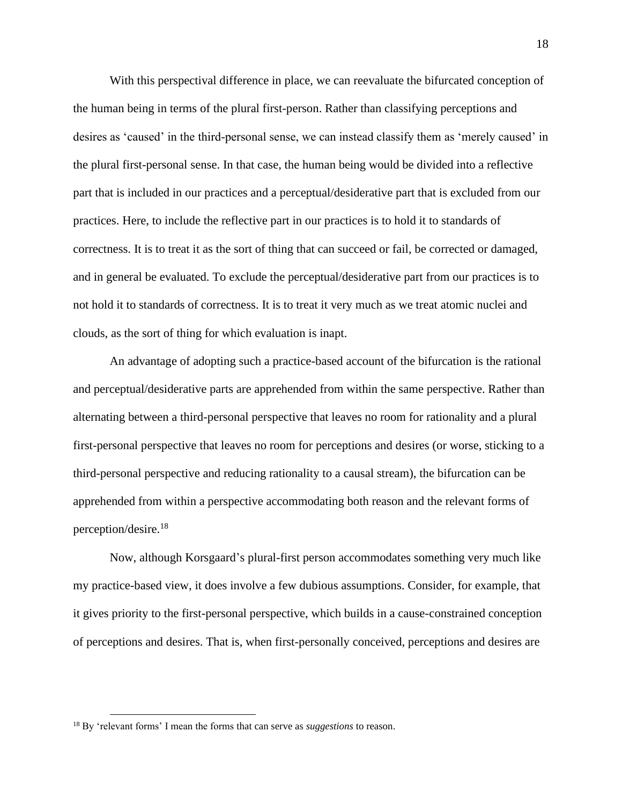With this perspectival difference in place, we can reevaluate the bifurcated conception of the human being in terms of the plural first-person. Rather than classifying perceptions and desires as 'caused' in the third-personal sense, we can instead classify them as 'merely caused' in the plural first-personal sense. In that case, the human being would be divided into a reflective part that is included in our practices and a perceptual/desiderative part that is excluded from our practices. Here, to include the reflective part in our practices is to hold it to standards of correctness. It is to treat it as the sort of thing that can succeed or fail, be corrected or damaged, and in general be evaluated. To exclude the perceptual/desiderative part from our practices is to not hold it to standards of correctness. It is to treat it very much as we treat atomic nuclei and clouds, as the sort of thing for which evaluation is inapt.

An advantage of adopting such a practice-based account of the bifurcation is the rational and perceptual/desiderative parts are apprehended from within the same perspective. Rather than alternating between a third-personal perspective that leaves no room for rationality and a plural first-personal perspective that leaves no room for perceptions and desires (or worse, sticking to a third-personal perspective and reducing rationality to a causal stream), the bifurcation can be apprehended from within a perspective accommodating both reason and the relevant forms of perception/desire.<sup>18</sup>

Now, although Korsgaard's plural-first person accommodates something very much like my practice-based view, it does involve a few dubious assumptions. Consider, for example, that it gives priority to the first-personal perspective, which builds in a cause-constrained conception of perceptions and desires. That is, when first-personally conceived, perceptions and desires are

<sup>18</sup> By 'relevant forms' I mean the forms that can serve as *suggestions* to reason.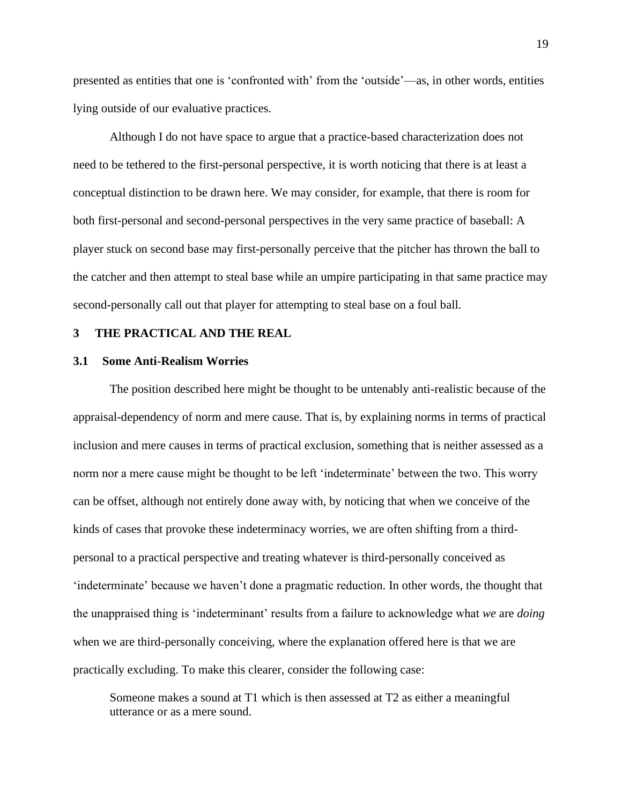presented as entities that one is 'confronted with' from the 'outside'—as, in other words, entities lying outside of our evaluative practices.

Although I do not have space to argue that a practice-based characterization does not need to be tethered to the first-personal perspective, it is worth noticing that there is at least a conceptual distinction to be drawn here. We may consider, for example, that there is room for both first-personal and second-personal perspectives in the very same practice of baseball: A player stuck on second base may first-personally perceive that the pitcher has thrown the ball to the catcher and then attempt to steal base while an umpire participating in that same practice may second-personally call out that player for attempting to steal base on a foul ball.

#### <span id="page-24-0"></span>**3 THE PRACTICAL AND THE REAL**

#### <span id="page-24-1"></span>**3.1 Some Anti-Realism Worries**

The position described here might be thought to be untenably anti-realistic because of the appraisal-dependency of norm and mere cause. That is, by explaining norms in terms of practical inclusion and mere causes in terms of practical exclusion, something that is neither assessed as a norm nor a mere cause might be thought to be left 'indeterminate' between the two. This worry can be offset, although not entirely done away with, by noticing that when we conceive of the kinds of cases that provoke these indeterminacy worries, we are often shifting from a thirdpersonal to a practical perspective and treating whatever is third-personally conceived as 'indeterminate' because we haven't done a pragmatic reduction. In other words, the thought that the unappraised thing is 'indeterminant' results from a failure to acknowledge what *we* are *doing* when we are third-personally conceiving, where the explanation offered here is that we are practically excluding. To make this clearer, consider the following case:

Someone makes a sound at T1 which is then assessed at T2 as either a meaningful utterance or as a mere sound.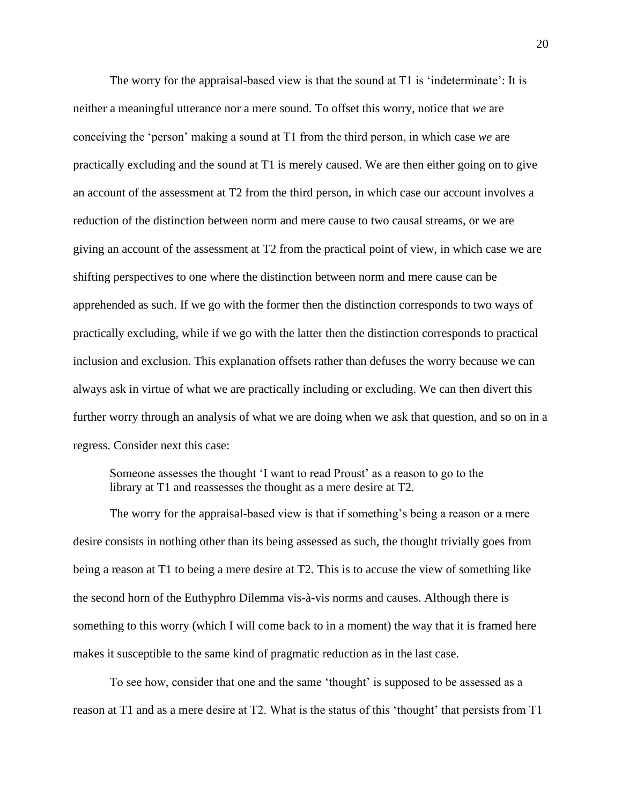The worry for the appraisal-based view is that the sound at T1 is 'indeterminate': It is neither a meaningful utterance nor a mere sound. To offset this worry, notice that *we* are conceiving the 'person' making a sound at T1 from the third person, in which case *we* are practically excluding and the sound at T1 is merely caused. We are then either going on to give an account of the assessment at T2 from the third person, in which case our account involves a reduction of the distinction between norm and mere cause to two causal streams, or we are giving an account of the assessment at T2 from the practical point of view, in which case we are shifting perspectives to one where the distinction between norm and mere cause can be apprehended as such. If we go with the former then the distinction corresponds to two ways of practically excluding, while if we go with the latter then the distinction corresponds to practical inclusion and exclusion. This explanation offsets rather than defuses the worry because we can always ask in virtue of what we are practically including or excluding. We can then divert this further worry through an analysis of what we are doing when we ask that question, and so on in a regress. Consider next this case:

Someone assesses the thought 'I want to read Proust' as a reason to go to the library at T1 and reassesses the thought as a mere desire at T2.

The worry for the appraisal-based view is that if something's being a reason or a mere desire consists in nothing other than its being assessed as such, the thought trivially goes from being a reason at T1 to being a mere desire at T2. This is to accuse the view of something like the second horn of the Euthyphro Dilemma vis-à-vis norms and causes. Although there is something to this worry (which I will come back to in a moment) the way that it is framed here makes it susceptible to the same kind of pragmatic reduction as in the last case.

To see how, consider that one and the same 'thought' is supposed to be assessed as a reason at T1 and as a mere desire at T2. What is the status of this 'thought' that persists from T1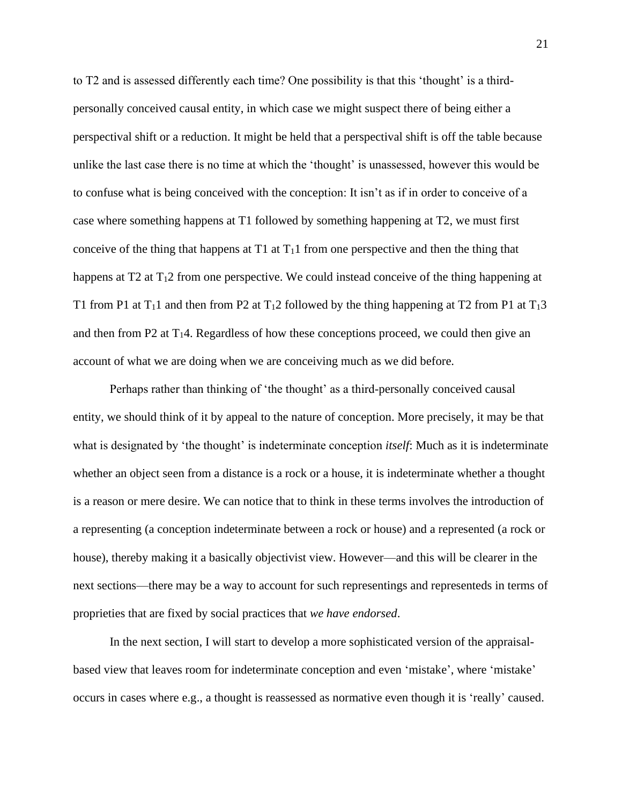to T2 and is assessed differently each time? One possibility is that this 'thought' is a thirdpersonally conceived causal entity, in which case we might suspect there of being either a perspectival shift or a reduction. It might be held that a perspectival shift is off the table because unlike the last case there is no time at which the 'thought' is unassessed, however this would be to confuse what is being conceived with the conception: It isn't as if in order to conceive of a case where something happens at T1 followed by something happening at T2, we must first conceive of the thing that happens at  $T_1$  at  $T_1$ 1 from one perspective and then the thing that happens at  $T_2$  at  $T_1$ 2 from one perspective. We could instead conceive of the thing happening at T1 from P1 at T<sub>1</sub>1 and then from P2 at T<sub>1</sub>2 followed by the thing happening at T2 from P1 at T<sub>1</sub>3 and then from P2 at  $T_14$ . Regardless of how these conceptions proceed, we could then give an account of what we are doing when we are conceiving much as we did before.

Perhaps rather than thinking of 'the thought' as a third-personally conceived causal entity, we should think of it by appeal to the nature of conception. More precisely, it may be that what is designated by 'the thought' is indeterminate conception *itself*: Much as it is indeterminate whether an object seen from a distance is a rock or a house, it is indeterminate whether a thought is a reason or mere desire. We can notice that to think in these terms involves the introduction of a representing (a conception indeterminate between a rock or house) and a represented (a rock or house), thereby making it a basically objectivist view. However—and this will be clearer in the next sections—there may be a way to account for such representings and representeds in terms of proprieties that are fixed by social practices that *we have endorsed*.

In the next section, I will start to develop a more sophisticated version of the appraisalbased view that leaves room for indeterminate conception and even 'mistake', where 'mistake' occurs in cases where e.g., a thought is reassessed as normative even though it is 'really' caused.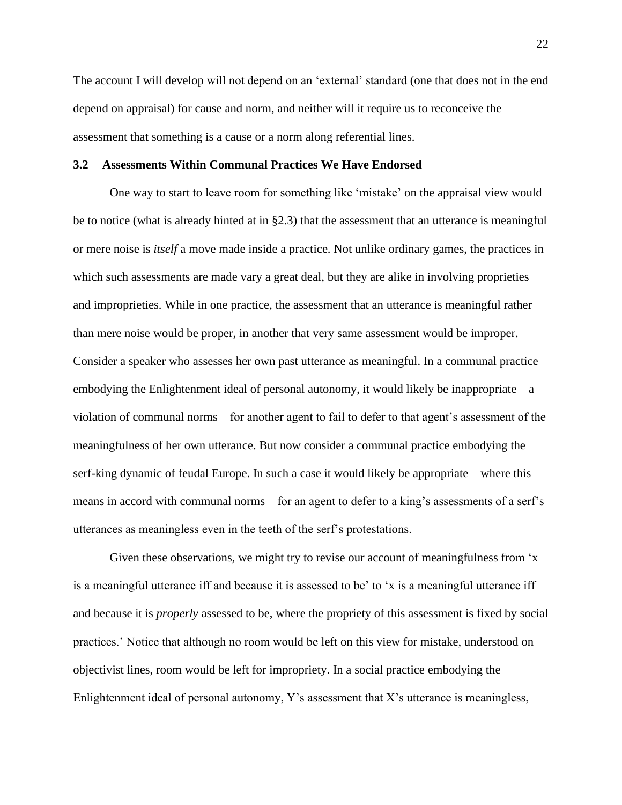The account I will develop will not depend on an 'external' standard (one that does not in the end depend on appraisal) for cause and norm, and neither will it require us to reconceive the assessment that something is a cause or a norm along referential lines.

#### <span id="page-27-0"></span>**3.2 Assessments Within Communal Practices We Have Endorsed**

One way to start to leave room for something like 'mistake' on the appraisal view would be to notice (what is already hinted at in §2.3) that the assessment that an utterance is meaningful or mere noise is *itself* a move made inside a practice. Not unlike ordinary games, the practices in which such assessments are made vary a great deal, but they are alike in involving proprieties and improprieties. While in one practice, the assessment that an utterance is meaningful rather than mere noise would be proper, in another that very same assessment would be improper. Consider a speaker who assesses her own past utterance as meaningful. In a communal practice embodying the Enlightenment ideal of personal autonomy, it would likely be inappropriate—a violation of communal norms—for another agent to fail to defer to that agent's assessment of the meaningfulness of her own utterance. But now consider a communal practice embodying the serf-king dynamic of feudal Europe. In such a case it would likely be appropriate—where this means in accord with communal norms—for an agent to defer to a king's assessments of a serf's utterances as meaningless even in the teeth of the serf's protestations.

Given these observations, we might try to revise our account of meaningfulness from 'x is a meaningful utterance iff and because it is assessed to be' to 'x is a meaningful utterance iff and because it is *properly* assessed to be, where the propriety of this assessment is fixed by social practices.' Notice that although no room would be left on this view for mistake, understood on objectivist lines, room would be left for impropriety. In a social practice embodying the Enlightenment ideal of personal autonomy, Y's assessment that X's utterance is meaningless,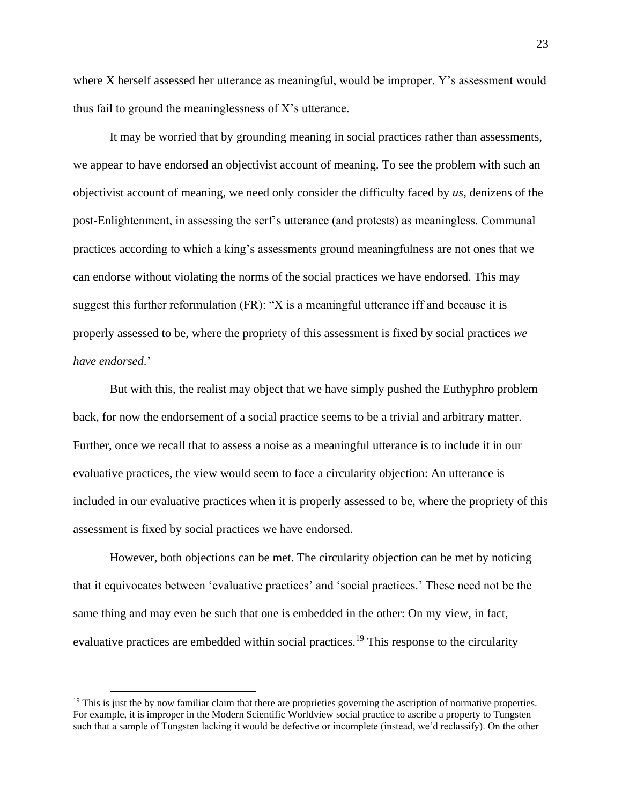where X herself assessed her utterance as meaningful, would be improper. Y's assessment would thus fail to ground the meaninglessness of X's utterance.

It may be worried that by grounding meaning in social practices rather than assessments, we appear to have endorsed an objectivist account of meaning. To see the problem with such an objectivist account of meaning, we need only consider the difficulty faced by *us*, denizens of the post-Enlightenment, in assessing the serf's utterance (and protests) as meaningless. Communal practices according to which a king's assessments ground meaningfulness are not ones that we can endorse without violating the norms of the social practices we have endorsed. This may suggest this further reformulation (FR): "X is a meaningful utterance iff and because it is properly assessed to be, where the propriety of this assessment is fixed by social practices *we have endorsed*.'

But with this, the realist may object that we have simply pushed the Euthyphro problem back, for now the endorsement of a social practice seems to be a trivial and arbitrary matter. Further, once we recall that to assess a noise as a meaningful utterance is to include it in our evaluative practices, the view would seem to face a circularity objection: An utterance is included in our evaluative practices when it is properly assessed to be, where the propriety of this assessment is fixed by social practices we have endorsed.

However, both objections can be met. The circularity objection can be met by noticing that it equivocates between 'evaluative practices' and 'social practices.' These need not be the same thing and may even be such that one is embedded in the other: On my view, in fact, evaluative practices are embedded within social practices.<sup>19</sup> This response to the circularity

 $19$  This is just the by now familiar claim that there are proprieties governing the ascription of normative properties. For example, it is improper in the Modern Scientific Worldview social practice to ascribe a property to Tungsten such that a sample of Tungsten lacking it would be defective or incomplete (instead, we'd reclassify). On the other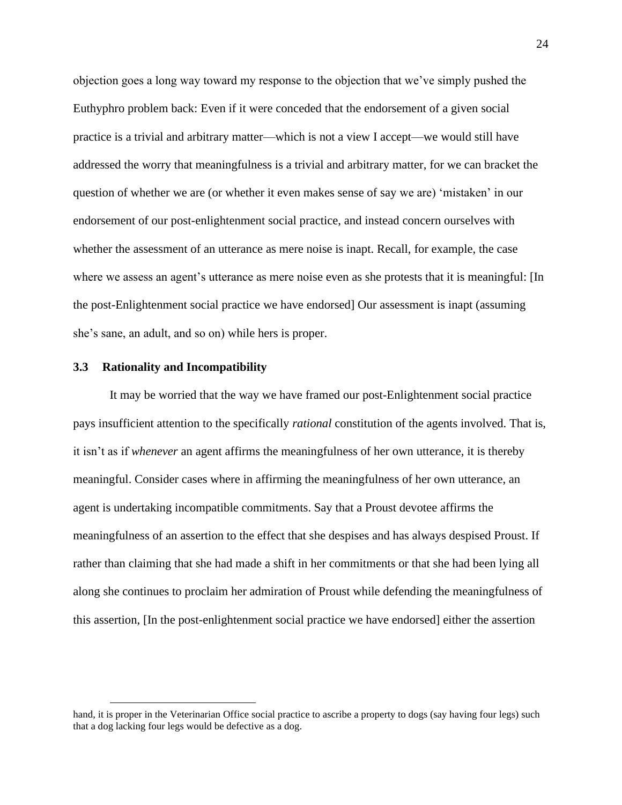objection goes a long way toward my response to the objection that we've simply pushed the Euthyphro problem back: Even if it were conceded that the endorsement of a given social practice is a trivial and arbitrary matter—which is not a view I accept—we would still have addressed the worry that meaningfulness is a trivial and arbitrary matter, for we can bracket the question of whether we are (or whether it even makes sense of say we are) 'mistaken' in our endorsement of our post-enlightenment social practice, and instead concern ourselves with whether the assessment of an utterance as mere noise is inapt. Recall, for example, the case where we assess an agent's utterance as mere noise even as she protests that it is meaningful: [In the post-Enlightenment social practice we have endorsed] Our assessment is inapt (assuming she's sane, an adult, and so on) while hers is proper.

#### <span id="page-29-0"></span>**3.3 Rationality and Incompatibility**

It may be worried that the way we have framed our post-Enlightenment social practice pays insufficient attention to the specifically *rational* constitution of the agents involved. That is, it isn't as if *whenever* an agent affirms the meaningfulness of her own utterance, it is thereby meaningful. Consider cases where in affirming the meaningfulness of her own utterance, an agent is undertaking incompatible commitments. Say that a Proust devotee affirms the meaningfulness of an assertion to the effect that she despises and has always despised Proust. If rather than claiming that she had made a shift in her commitments or that she had been lying all along she continues to proclaim her admiration of Proust while defending the meaningfulness of this assertion, [In the post-enlightenment social practice we have endorsed] either the assertion

hand, it is proper in the Veterinarian Office social practice to ascribe a property to dogs (say having four legs) such that a dog lacking four legs would be defective as a dog.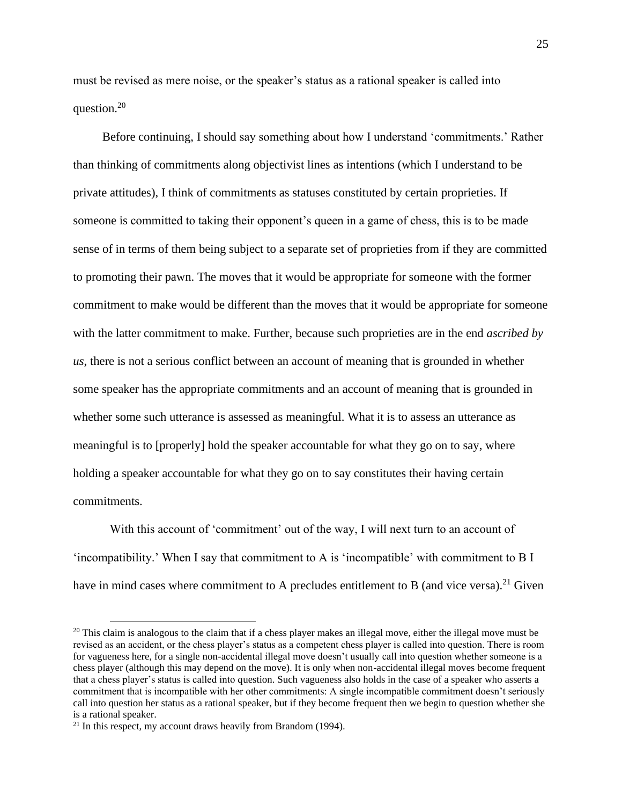must be revised as mere noise, or the speaker's status as a rational speaker is called into question.<sup>20</sup>

Before continuing, I should say something about how I understand 'commitments.' Rather than thinking of commitments along objectivist lines as intentions (which I understand to be private attitudes), I think of commitments as statuses constituted by certain proprieties. If someone is committed to taking their opponent's queen in a game of chess, this is to be made sense of in terms of them being subject to a separate set of proprieties from if they are committed to promoting their pawn. The moves that it would be appropriate for someone with the former commitment to make would be different than the moves that it would be appropriate for someone with the latter commitment to make. Further, because such proprieties are in the end *ascribed by us*, there is not a serious conflict between an account of meaning that is grounded in whether some speaker has the appropriate commitments and an account of meaning that is grounded in whether some such utterance is assessed as meaningful. What it is to assess an utterance as meaningful is to [properly] hold the speaker accountable for what they go on to say, where holding a speaker accountable for what they go on to say constitutes their having certain commitments.

With this account of 'commitment' out of the way, I will next turn to an account of 'incompatibility.' When I say that commitment to A is 'incompatible' with commitment to B I have in mind cases where commitment to A precludes entitlement to B (and vice versa).<sup>21</sup> Given

 $20$  This claim is analogous to the claim that if a chess player makes an illegal move, either the illegal move must be revised as an accident, or the chess player's status as a competent chess player is called into question. There is room for vagueness here, for a single non-accidental illegal move doesn't usually call into question whether someone is a chess player (although this may depend on the move). It is only when non-accidental illegal moves become frequent that a chess player's status is called into question. Such vagueness also holds in the case of a speaker who asserts a commitment that is incompatible with her other commitments: A single incompatible commitment doesn't seriously call into question her status as a rational speaker, but if they become frequent then we begin to question whether she is a rational speaker.

 $21$  In this respect, my account draws heavily from Brandom (1994).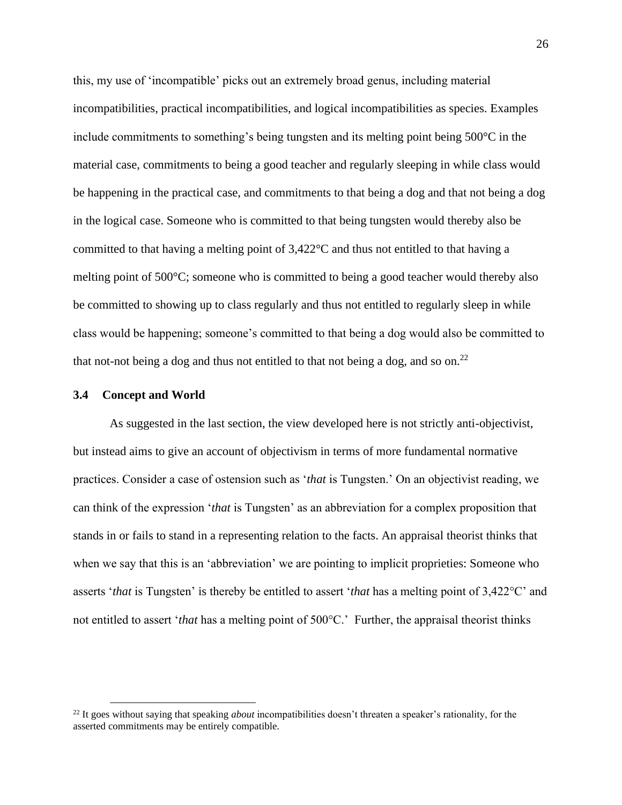this, my use of 'incompatible' picks out an extremely broad genus, including material incompatibilities, practical incompatibilities, and logical incompatibilities as species. Examples include commitments to something's being tungsten and its melting point being 500°C in the material case, commitments to being a good teacher and regularly sleeping in while class would be happening in the practical case, and commitments to that being a dog and that not being a dog in the logical case. Someone who is committed to that being tungsten would thereby also be committed to that having a melting point of  $3,422^{\circ}$ C and thus not entitled to that having a melting point of 500°C; someone who is committed to being a good teacher would thereby also be committed to showing up to class regularly and thus not entitled to regularly sleep in while class would be happening; someone's committed to that being a dog would also be committed to that not-not being a dog and thus not entitled to that not being a dog, and so on.<sup>22</sup>

#### <span id="page-31-0"></span>**3.4 Concept and World**

As suggested in the last section, the view developed here is not strictly anti-objectivist, but instead aims to give an account of objectivism in terms of more fundamental normative practices. Consider a case of ostension such as '*that* is Tungsten.' On an objectivist reading, we can think of the expression '*that* is Tungsten' as an abbreviation for a complex proposition that stands in or fails to stand in a representing relation to the facts. An appraisal theorist thinks that when we say that this is an 'abbreviation' we are pointing to implicit proprieties: Someone who asserts '*that* is Tungsten' is thereby be entitled to assert '*that* has a melting point of 3,422°C' and not entitled to assert '*that* has a melting point of 500°C.' Further, the appraisal theorist thinks

<sup>22</sup> It goes without saying that speaking *about* incompatibilities doesn't threaten a speaker's rationality, for the asserted commitments may be entirely compatible.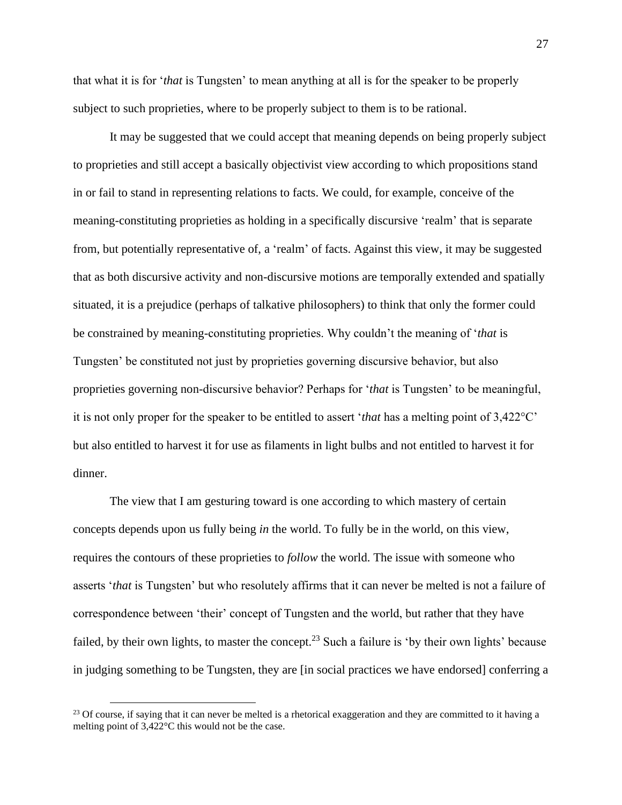that what it is for '*that* is Tungsten' to mean anything at all is for the speaker to be properly subject to such proprieties, where to be properly subject to them is to be rational.

It may be suggested that we could accept that meaning depends on being properly subject to proprieties and still accept a basically objectivist view according to which propositions stand in or fail to stand in representing relations to facts. We could, for example, conceive of the meaning-constituting proprieties as holding in a specifically discursive 'realm' that is separate from, but potentially representative of, a 'realm' of facts. Against this view, it may be suggested that as both discursive activity and non-discursive motions are temporally extended and spatially situated, it is a prejudice (perhaps of talkative philosophers) to think that only the former could be constrained by meaning-constituting proprieties. Why couldn't the meaning of '*that* is Tungsten' be constituted not just by proprieties governing discursive behavior, but also proprieties governing non-discursive behavior? Perhaps for '*that* is Tungsten' to be meaningful, it is not only proper for the speaker to be entitled to assert '*that* has a melting point of 3,422°C' but also entitled to harvest it for use as filaments in light bulbs and not entitled to harvest it for dinner.

The view that I am gesturing toward is one according to which mastery of certain concepts depends upon us fully being *in* the world. To fully be in the world, on this view, requires the contours of these proprieties to *follow* the world. The issue with someone who asserts '*that* is Tungsten' but who resolutely affirms that it can never be melted is not a failure of correspondence between 'their' concept of Tungsten and the world, but rather that they have failed, by their own lights, to master the concept.<sup>23</sup> Such a failure is 'by their own lights' because in judging something to be Tungsten, they are [in social practices we have endorsed] conferring a

<sup>&</sup>lt;sup>23</sup> Of course, if saying that it can never be melted is a rhetorical exaggeration and they are committed to it having a melting point of 3,422°C this would not be the case.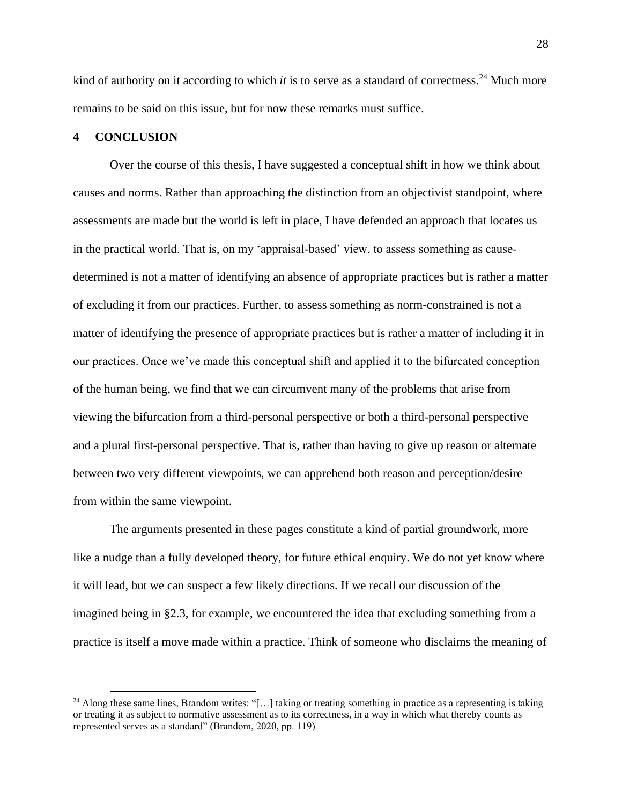kind of authority on it according to which *it* is to serve as a standard of correctness. <sup>24</sup> Much more remains to be said on this issue, but for now these remarks must suffice.

#### <span id="page-33-0"></span>**4 CONCLUSION**

Over the course of this thesis, I have suggested a conceptual shift in how we think about causes and norms. Rather than approaching the distinction from an objectivist standpoint, where assessments are made but the world is left in place, I have defended an approach that locates us in the practical world. That is, on my 'appraisal-based' view, to assess something as causedetermined is not a matter of identifying an absence of appropriate practices but is rather a matter of excluding it from our practices. Further, to assess something as norm-constrained is not a matter of identifying the presence of appropriate practices but is rather a matter of including it in our practices. Once we've made this conceptual shift and applied it to the bifurcated conception of the human being, we find that we can circumvent many of the problems that arise from viewing the bifurcation from a third-personal perspective or both a third-personal perspective and a plural first-personal perspective. That is, rather than having to give up reason or alternate between two very different viewpoints, we can apprehend both reason and perception/desire from within the same viewpoint.

The arguments presented in these pages constitute a kind of partial groundwork, more like a nudge than a fully developed theory, for future ethical enquiry. We do not yet know where it will lead, but we can suspect a few likely directions. If we recall our discussion of the imagined being in §2.3, for example, we encountered the idea that excluding something from a practice is itself a move made within a practice. Think of someone who disclaims the meaning of

<sup>&</sup>lt;sup>24</sup> Along these same lines, Brandom writes: "[...] taking or treating something in practice as a representing is taking or treating it as subject to normative assessment as to its correctness, in a way in which what thereby counts as represented serves as a standard" (Brandom, 2020, pp. 119)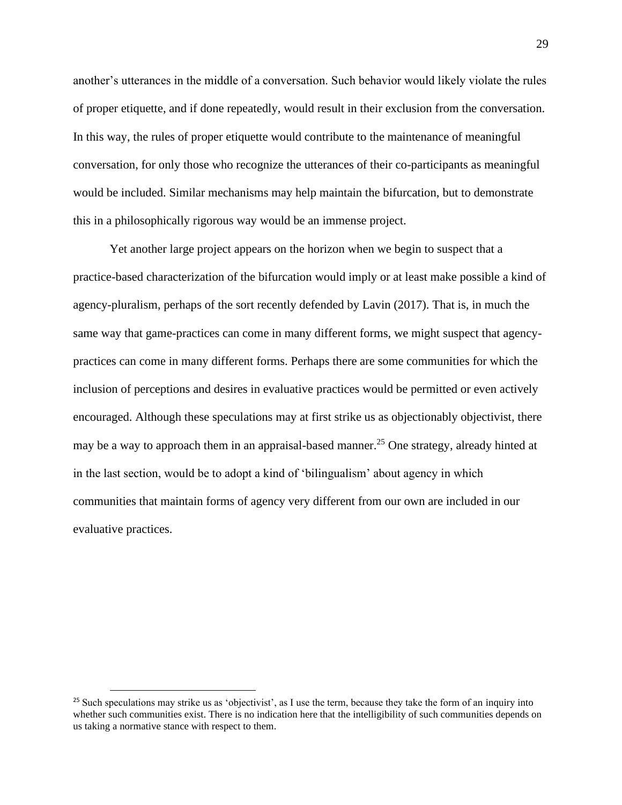another's utterances in the middle of a conversation. Such behavior would likely violate the rules of proper etiquette, and if done repeatedly, would result in their exclusion from the conversation. In this way, the rules of proper etiquette would contribute to the maintenance of meaningful conversation, for only those who recognize the utterances of their co-participants as meaningful would be included. Similar mechanisms may help maintain the bifurcation, but to demonstrate this in a philosophically rigorous way would be an immense project.

Yet another large project appears on the horizon when we begin to suspect that a practice-based characterization of the bifurcation would imply or at least make possible a kind of agency-pluralism, perhaps of the sort recently defended by Lavin (2017). That is, in much the same way that game-practices can come in many different forms, we might suspect that agencypractices can come in many different forms. Perhaps there are some communities for which the inclusion of perceptions and desires in evaluative practices would be permitted or even actively encouraged. Although these speculations may at first strike us as objectionably objectivist, there may be a way to approach them in an appraisal-based manner.<sup>25</sup> One strategy, already hinted at in the last section, would be to adopt a kind of 'bilingualism' about agency in which communities that maintain forms of agency very different from our own are included in our evaluative practices.

<sup>&</sup>lt;sup>25</sup> Such speculations may strike us as 'objectivist', as I use the term, because they take the form of an inquiry into whether such communities exist. There is no indication here that the intelligibility of such communities depends on us taking a normative stance with respect to them.